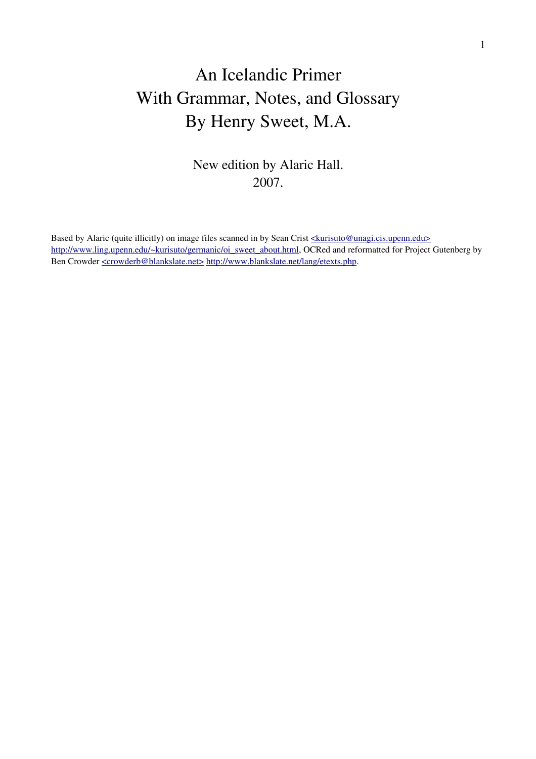# An Icelandic Primer With Grammar, Notes, and Glossary By Henry Sweet, M.A.

New edition by Alaric Hall. 2007.

Based by Alaric (quite illicitly) on image files scanned in by Sean Crist [<kurisuto@unagi.cis.upenn.edu>](mailto:kurisuto@unagi.cis.upenn.edu) [http://www.ling.upenn.edu/~kurisuto/germanic/oi\\_sweet\\_about.html,](http://www.ling.upenn.edu/~kurisuto/germanic/oi_sweet_about.html) OCRed and reformatted for Project Gutenberg by Ben Crowder  $\leq$ crowderb@blankslate.net> [http://www.blankslate.net/lang/etexts.php.](http://www.blankslate.net/lang/etexts.php)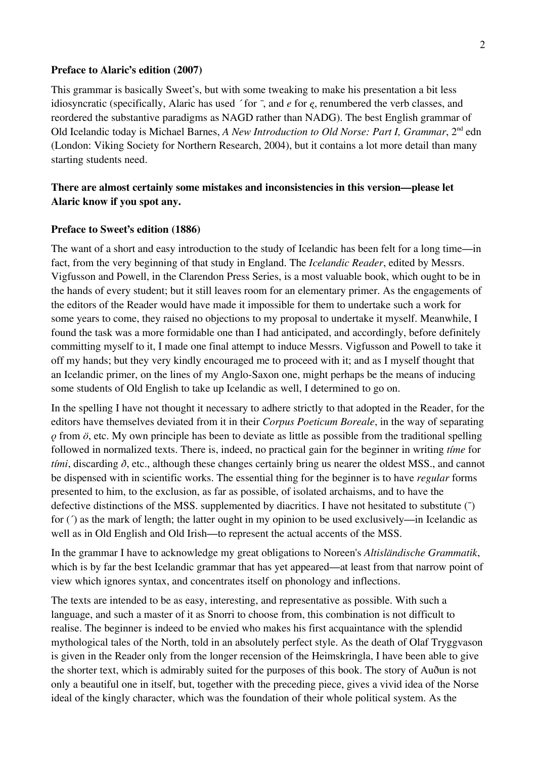#### **Preface to Alaric's edition (2007)**

This grammar is basically Sweet's, but with some tweaking to make his presentation a bit less idiosyncratic (specifically, Alaric has used *´* for *¯*, and *e* for *ę*, renumbered the verb classes, and reordered the substantive paradigms as NAGD rather than NADG). The best English grammar of Old Icelandic today is Michael Barnes, *A New Introduction to Old Norse: Part I, Grammar*, 2<sup>nd</sup> edn (London: Viking Society for Northern Research, 2004), but it contains a lot more detail than many starting students need.

## **There are almost certainly some mistakes and inconsistencies in this version—please let Alaric know if you spot any.**

#### **Preface to Sweet's edition (1886)**

The want of a short and easy introduction to the study of Icelandic has been felt for a long time—in fact, from the very beginning of that study in England. The *Icelandic Reader*, edited by Messrs. Vigfusson and Powell, in the Clarendon Press Series, is a most valuable book, which ought to be in the hands of every student; but it still leaves room for an elementary primer. As the engagements of the editors of the Reader would have made it impossible for them to undertake such a work for some years to come, they raised no objections to my proposal to undertake it myself. Meanwhile, I found the task was a more formidable one than I had anticipated, and accordingly, before definitely committing myself to it, I made one final attempt to induce Messrs. Vigfusson and Powell to take it off my hands; but they very kindly encouraged me to proceed with it; and as I myself thought that an Icelandic primer, on the lines of my Anglo-Saxon one, might perhaps be the means of inducing some students of Old English to take up Icelandic as well, I determined to go on.

In the spelling I have not thought it necessary to adhere strictly to that adopted in the Reader, for the editors have themselves deviated from it in their *Corpus Poeticum Boreale*, in the way of separating *ǫ* from *ö*, etc. My own principle has been to deviate as little as possible from the traditional spelling followed in normalized texts. There is, indeed, no practical gain for the beginner in writing *tíme* for *tími*, discarding *ð*, etc., although these changes certainly bring us nearer the oldest MSS., and cannot be dispensed with in scientific works. The essential thing for the beginner is to have *regular* forms presented to him, to the exclusion, as far as possible, of isolated archaisms, and to have the defective distinctions of the MSS. supplemented by diacritics. I have not hesitated to substitute (¯) for ( $\hat{ }$ ) as the mark of length; the latter ought in my opinion to be used exclusively—in Icelandic as well as in Old English and Old Irish—to represent the actual accents of the MSS.

In the grammar I have to acknowledge my great obligations to Noreen's *Altisländische Grammatik*, which is by far the best Icelandic grammar that has yet appeared—at least from that narrow point of view which ignores syntax, and concentrates itself on phonology and inflections.

The texts are intended to be as easy, interesting, and representative as possible. With such a language, and such a master of it as Snorri to choose from, this combination is not difficult to realise. The beginner is indeed to be envied who makes his first acquaintance with the splendid mythological tales of the North, told in an absolutely perfect style. As the death of Olaf Tryggvason is given in the Reader only from the longer recension of the Heimskringla, I have been able to give the shorter text, which is admirably suited for the purposes of this book. The story of Auðun is not only a beautiful one in itself, but, together with the preceding piece, gives a vivid idea of the Norse ideal of the kingly character, which was the foundation of their whole political system. As the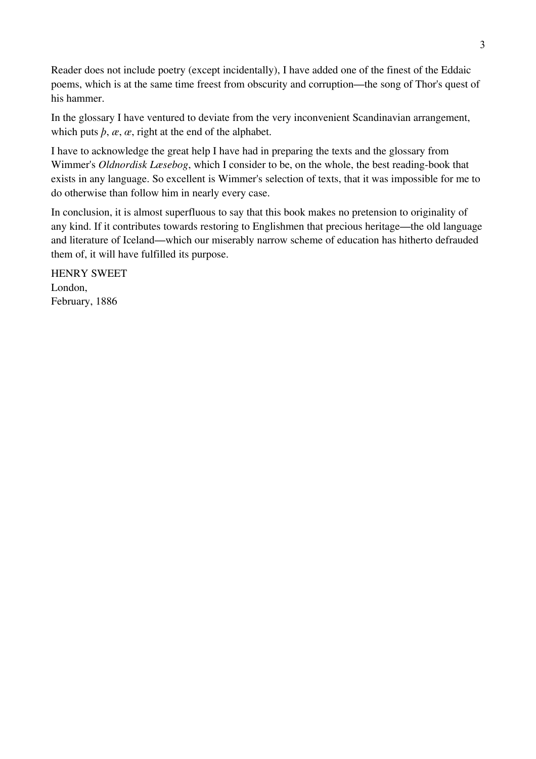Reader does not include poetry (except incidentally), I have added one of the finest of the Eddaic poems, which is at the same time freest from obscurity and corruption—the song of Thor's quest of his hammer.

In the glossary I have ventured to deviate from the very inconvenient Scandinavian arrangement, which puts  $\dot{p}$ ,  $\alpha$ ,  $\alpha$ , right at the end of the alphabet.

I have to acknowledge the great help I have had in preparing the texts and the glossary from Wimmer's *Oldnordisk Læsebog*, which I consider to be, on the whole, the best reading-book that exists in any language. So excellent is Wimmer's selection of texts, that it was impossible for me to do otherwise than follow him in nearly every case.

In conclusion, it is almost superfluous to say that this book makes no pretension to originality of any kind. If it contributes towards restoring to Englishmen that precious heritage—the old language and literature of Iceland—which our miserably narrow scheme of education has hitherto defrauded them of, it will have fulfilled its purpose.

HENRY SWEET London, February, 1886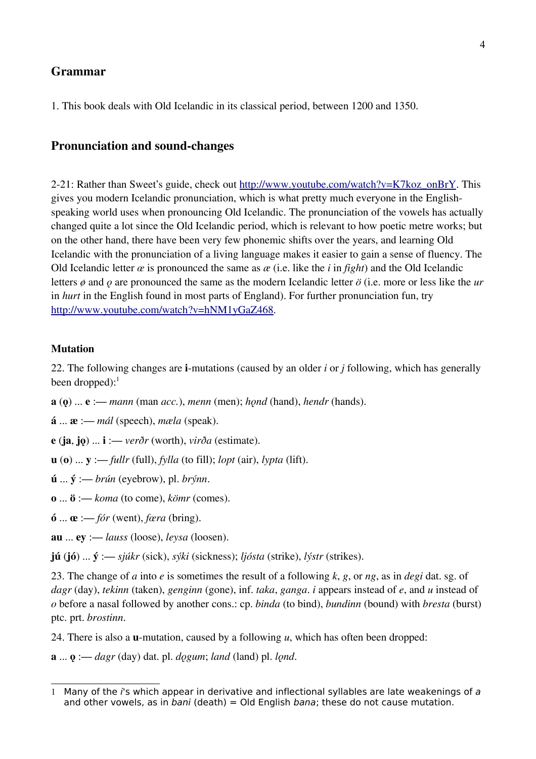### **Grammar**

1. This book deals with Old Icelandic in its classical period, between 1200 and 1350.

### **Pronunciation and sound-changes**

2-21: Rather than Sweet's guide, check out [http://www.youtube.com/watch?v=K7koz\\_onBrY.](http://www.youtube.com/watch?v=K7koz_onBrY) This gives you modern Icelandic pronunciation, which is what pretty much everyone in the Englishspeaking world uses when pronouncing Old Icelandic. The pronunciation of the vowels has actually changed quite a lot since the Old Icelandic period, which is relevant to how poetic metre works; but on the other hand, there have been very few phonemic shifts over the years, and learning Old Icelandic with the pronunciation of a living language makes it easier to gain a sense of fluency. The Old Icelandic letter *œ* is pronounced the same as *æ* (i.e. like the *i* in *fight*) and the Old Icelandic letters *ø* and *ǫ* are pronounced the same as the modern Icelandic letter *ö* (i.e. more or less like the *ur* in *hurt* in the English found in most parts of England). For further pronunciation fun, try [http://www.youtube.com/watch?v=hNM1yGaZ468.](http://www.youtube.com/watch?v=hNM1yGaZ468)

#### **Mutation**

22. The following changes are **i**-mutations (caused by an older *i* or *j* following, which has generally been dropped): $<sup>1</sup>$  $<sup>1</sup>$  $<sup>1</sup>$ </sup>

- **a** (**ǫ**) ... **e** :— *mann* (man *acc.*), *menn* (men); *hǫnd* (hand), *hendr* (hands).
- **á** ... **æ** :— *mál* (speech), *mæla* (speak).
- **e** (**ja**, **jǫ**) ... **i** :— *verðr* (worth), *virða* (estimate).
- **u** (**o**) ... **y** :— *fullr* (full), *fylla* (to fill); *lopt* (air), *lypta* (lift).
- **ú** ... **ý** :— *brún* (eyebrow), pl. *brýnn*.
- **o** ... **ö** :— *koma* (to come), *kömr* (comes).
- **ó** ... **œ** :— *fór* (went), *fœra* (bring).
- **au** ... **ey** :— *lauss* (loose), *leysa* (loosen).
- **jú** (**jó**) ... **ý** :— *sjúkr* (sick), *sýki* (sickness); *ljósta* (strike), *lýstr* (strikes).

23. The change of *a* into *e* is sometimes the result of a following *k*, *g*, or *ng*, as in *degi* dat. sg. of *dagr* (day), *tekinn* (taken), *genginn* (gone), inf. *taka*, *ganga*. *i* appears instead of *e*, and *u* instead of *o* before a nasal followed by another cons.: cp. *binda* (to bind), *bundinn* (bound) with *bresta* (burst) ptc. prt. *brostinn*.

24. There is also a **u**-mutation, caused by a following *u*, which has often been dropped:

**a** ... **ǫ** :— *dagr* (day) dat. pl. *dǫgum*; *land* (land) pl. *lǫnd*.

<span id="page-3-0"></span><sup>1</sup> Many of the i's which appear in derivative and inflectional syllables are late weakenings of a and other vowels, as in bani (death) = Old English bana; these do not cause mutation.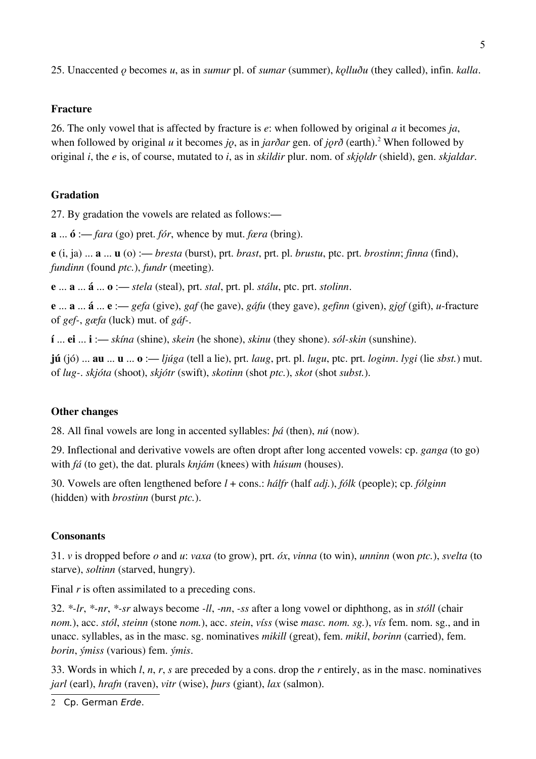25. Unaccented *ǫ* becomes *u*, as in *sumur* pl. of *sumar* (summer), *kǫlluðu* (they called), infin. *kalla*.

# **Fracture**

26. The only vowel that is affected by fracture is *e*: when followed by original *a* it becomes *ja*, when followed by original *u* it becomes *jo*, as in *jarðar* gen. of *jorð* (earth).<sup>[2](#page-4-0)</sup> When followed by original *i*, the *e* is, of course, mutated to *i*, as in *skildir* plur. nom. of *skjoldr* (shield), gen. *skjaldar*.

# **Gradation**

27. By gradation the vowels are related as follows:—

**a** ... **ó** :— *fara* (go) pret. *fór*, whence by mut. *fœra* (bring).

**e** (i, ja) ... **a** ... **u** (o) :— *bresta* (burst), prt. *brast*, prt. pl. *brustu*, ptc. prt. *brostinn*; *finna* (find), *fundinn* (found *ptc.*), *fundr* (meeting).

**e** ... **a** ... **á** ... **o** :— *stela* (steal), prt. *stal*, prt. pl. *stálu*, ptc. prt. *stolinn*.

**e** ... **a** ... **á** ... **e** :— *gefa* (give), *gaf* (he gave), *gáfu* (they gave), *gefinn* (given), *gjǫf* (gift), *u*-fracture of *gef-*, *gæfa* (luck) mut. of *gáf-*.

**í** ... **ei** ... **i** :— *skína* (shine), *skein* (he shone), *skinu* (they shone). *sól-skin* (sunshine).

**jú** (jó) ... **au** ... **u** ... **o** :— *ljúga* (tell a lie), prt. *laug*, prt. pl. *lugu*, ptc. prt. *loginn*. *lygi* (lie *sbst.*) mut. of *lug-*. *skjóta* (shoot), *skjótr* (swift), *skotinn* (shot *ptc.*), *skot* (shot *subst.*).

# **Other changes**

28. All final vowels are long in accented syllables: *þá* (then), *nú* (now).

29. Inflectional and derivative vowels are often dropt after long accented vowels: cp. *ganga* (to go) with *fá* (to get), the dat. plurals *knjám* (knees) with *húsum* (houses).

30. Vowels are often lengthened before *l* + cons.: *hálfr* (half *adj.*), *fólk* (people); cp. *fólginn* (hidden) with *brostinn* (burst *ptc.*).

# **Consonants**

31. *v* is dropped before *o* and *u*: *vaxa* (to grow), prt. *óx*, *vinna* (to win), *unninn* (won *ptc.*), *svelta* (to starve), *soltinn* (starved, hungry).

Final *r* is often assimilated to a preceding cons.

32. *\*-lr*, *\*-nr*, *\*-sr* always become *-ll*, *-nn*, *-ss* after a long vowel or diphthong, as in *stóll* (chair *nom.*), acc. *stól*, *steinn* (stone *nom.*), acc. *stein*, *víss* (wise *masc. nom. sg.*), *vís* fem. nom. sg., and in unacc. syllables, as in the masc. sg. nominatives *mikill* (great), fem. *mikil*, *borinn* (carried), fem. *borin*, *ýmiss* (various) fem. *ýmis*.

33. Words in which *l*, *n*, *r*, *s* are preceded by a cons. drop the *r* entirely, as in the masc. nominatives *jarl* (earl), *hrafn* (raven), *vitr* (wise), *þurs* (giant), *lax* (salmon).

<span id="page-4-0"></span><sup>2</sup> Cp. German Erde.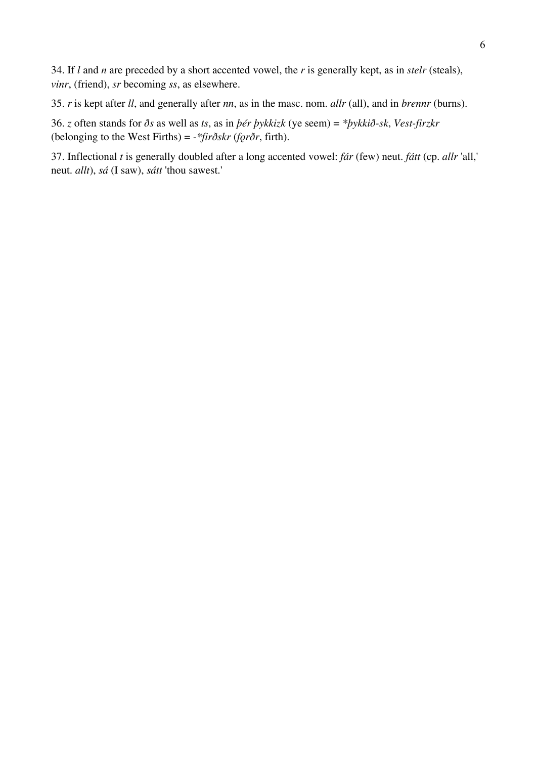34. If *l* and *n* are preceded by a short accented vowel, the *r* is generally kept, as in *stelr* (steals), *vinr*, (friend), *sr* becoming *ss*, as elsewhere.

35. *r* is kept after *ll*, and generally after *nn*, as in the masc. nom. *allr* (all), and in *brennr* (burns).

36. *z* often stands for *ðs* as well as *ts*, as in *þér þykkizk* (ye seem) = *\*þykkið-sk*, *Vest-firzkr* (belonging to the West Firths) = *-\*firðskr* (*fǫrðr*, firth).

37. Inflectional *t* is generally doubled after a long accented vowel: *fár* (few) neut. *fátt* (cp. *allr* 'all,' neut. *allt*), *sá* (I saw), *sátt* 'thou sawest.'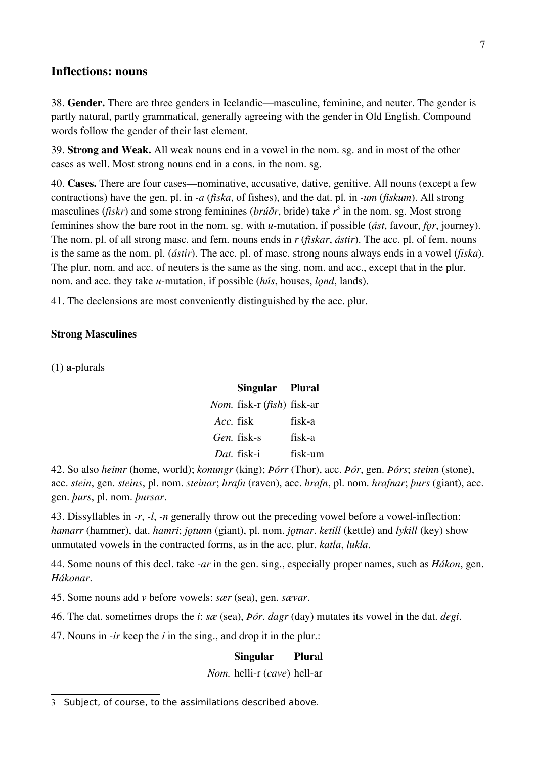### **Inflections: nouns**

38. **Gender.** There are three genders in Icelandic—masculine, feminine, and neuter. The gender is partly natural, partly grammatical, generally agreeing with the gender in Old English. Compound words follow the gender of their last element.

39. **Strong and Weak.** All weak nouns end in a vowel in the nom. sg. and in most of the other cases as well. Most strong nouns end in a cons. in the nom. sg.

40. **Cases.** There are four cases—nominative, accusative, dative, genitive. All nouns (except a few contractions) have the gen. pl. in *-a* (*fiska*, of fishes), and the dat. pl. in *-um* (*fiskum*). All strong masculines (*fiskr*) and some strong feminines (*brúðr*, bride) take *r* [3](#page-6-0) in the nom. sg. Most strong feminines show the bare root in the nom. sg. with *u*-mutation, if possible (*ást*, favour, *for*, journey). The nom. pl. of all strong masc. and fem. nouns ends in *r* (*fiskar*, *ástir*). The acc. pl. of fem. nouns is the same as the nom. pl. (*ástir*). The acc. pl. of masc. strong nouns always ends in a vowel (*fiska*). The plur. nom. and acc. of neuters is the same as the sing. nom. and acc., except that in the plur. nom. and acc. they take *u*-mutation, if possible *(hús, houses, lond, lands)*.

41. The declensions are most conveniently distinguished by the acc. plur.

#### **Strong Masculines**

(1) **a**-plurals

|           | Singular Plural                            |         |
|-----------|--------------------------------------------|---------|
|           | <i>Nom.</i> fisk-r ( <i>fish</i> ) fisk-ar |         |
| Acc. fisk |                                            | fisk-a  |
|           | Gen. fisk-s                                | fisk-a  |
|           | Dat. fisk-i                                | fisk-um |

42. So also *heimr* (home, world); *konungr* (king); *Þórr* (Thor), acc. *Þór*, gen. *Þórs*; *steinn* (stone), acc. *stein*, gen. *steins*, pl. nom. *steinar*; *hrafn* (raven), acc. *hrafn*, pl. nom. *hrafnar*; *þurs* (giant), acc. gen. *þurs*, pl. nom. *þursar*.

43. Dissyllables in *-r*, *-l*, *-n* generally throw out the preceding vowel before a vowel-inflection: *hamarr* (hammer), dat. *hamri*; *jotunn* (giant), pl. nom. *jotnar. ketill* (kettle) and *lykill* (key) show unmutated vowels in the contracted forms, as in the acc. plur. *katla*, *lukla*.

44. Some nouns of this decl. take *-ar* in the gen. sing., especially proper names, such as *Hákon*, gen. *Hákonar*.

45. Some nouns add *v* before vowels: *sær* (sea), gen. *sævar*.

46. The dat. sometimes drops the *i*: *sæ* (sea), *Þór*. *dagr* (day) mutates its vowel in the dat. *degi*.

47. Nouns in *-ir* keep the *i* in the sing., and drop it in the plur.:

**Singular Plural** *Nom.* helli-r (*cave*) hell-ar

<span id="page-6-0"></span><sup>3</sup> Subject, of course, to the assimilations described above.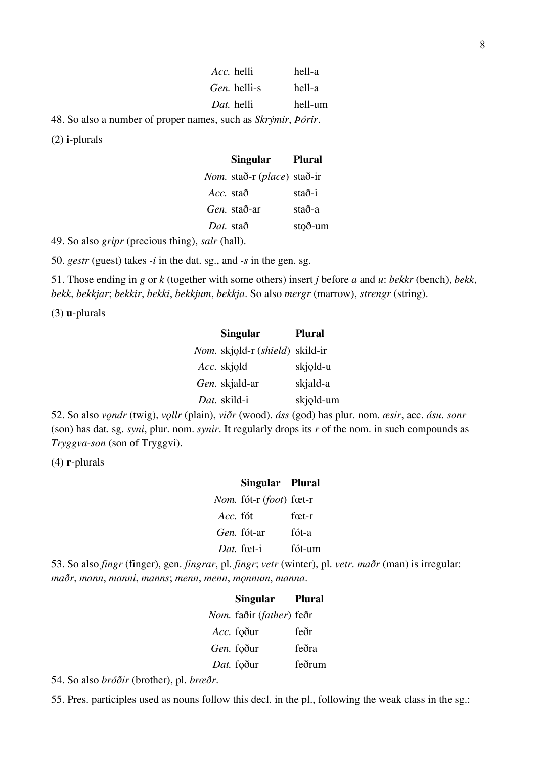| Acc. helli          | hell-a  |
|---------------------|---------|
| <i>Gen.</i> helli-s | hell-a  |
| Dat. helli          | hell-um |
|                     |         |

48. So also a number of proper names, such as *Skrýmir*, *Þórir*.

(2) **i**-plurals

|           | <b>Singular</b>                             | <b>Plural</b> |
|-----------|---------------------------------------------|---------------|
|           | <i>Nom.</i> stað-r ( <i>place</i> ) stað-ir |               |
| Acc. stað |                                             | stað-i        |
|           | <i>Gen.</i> stað-ar                         | stað-a        |
| Dat. stað |                                             | stoð-um       |

49. So also *gripr* (precious thing), *salr* (hall).

50. *gestr* (guest) takes *-i* in the dat. sg., and *-s* in the gen. sg.

51. Those ending in *g* or *k* (together with some others) insert *j* before *a* and *u*: *bekkr* (bench), *bekk*, *bekk*, *bekkjar*; *bekkir*, *bekki*, *bekkjum*, *bekkja*. So also *mergr* (marrow), *strengr* (string).

(3) **u**-plurals

| <b>Singular</b>                                 | Plural    |
|-------------------------------------------------|-----------|
| <i>Nom.</i> skjold-r ( <i>shield</i> ) skild-ir |           |
| Acc. skjold                                     | skjold-u  |
| Gen. skjald-ar                                  | skjald-a  |
| Dat. skild-i                                    | skjold-um |

52. So also *vǫndr* (twig), *vǫllr* (plain), *viðr* (wood). *áss* (god) has plur. nom. *æsir*, acc. *ásu*. *sonr* (son) has dat. sg. *syni*, plur. nom. *synir*. It regularly drops its *r* of the nom. in such compounds as *Tryggva-son* (son of Tryggvi).

(4) **r**-plurals

### **Singular Plural** *Nom.* fót-r (*foot*) fœt-r *Acc*.

| <i>Acc.</i> tót | tæt-r  |
|-----------------|--------|
| Gen. fót-ar     | fót-a  |
| Dat. fœt-i      | fót-um |

53. So also *fingr* (finger), gen. *fingrar*, pl. *fingr*; *vetr* (winter), pl. *vetr*. *maðr* (man) is irregular: *maðr*, *mann*, *manni*, *manns*; *menn*, *menn*, *mǫnnum*, *manna*.

| <b>Singular</b>                          | <b>Plural</b> |
|------------------------------------------|---------------|
| <i>Nom.</i> faðir ( <i>father</i> ) feðr |               |
| Acc. foður                               | feðr          |
| Gen. foður                               | feðra         |
| Dat. foður                               | feðrum        |

54. So also *bróðir* (brother), pl. *brœðr*.

55. Pres. participles used as nouns follow this decl. in the pl., following the weak class in the sg.: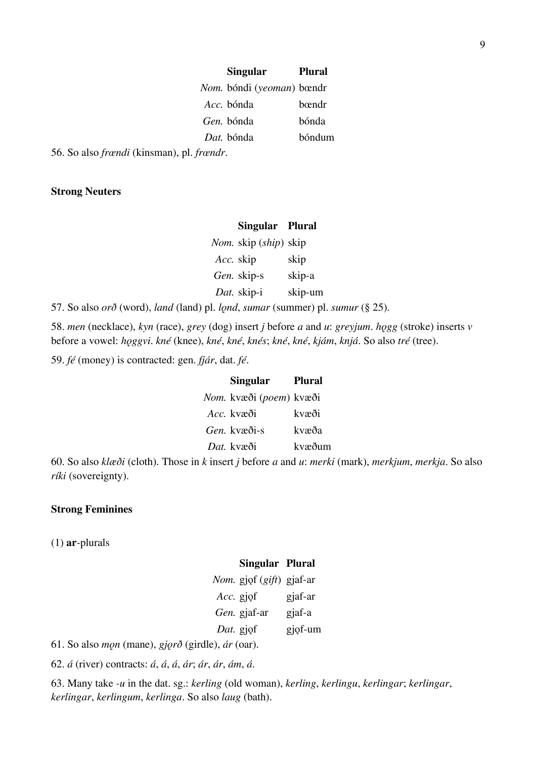| <b>Singular</b>                  | Plural |
|----------------------------------|--------|
| <i>Nom.</i> bóndi (yeoman) bœndr |        |
| <i>Acc.</i> bónda                | bændr  |
| Gen, bónda                       | bónda  |
| Dat. bónda                       | bóndum |
|                                  |        |

56. So also *frœndi* (kinsman), pl. *frœndr*.

#### **Strong Neuters**

### **Singular Plural**

*Nom.* skip (*ship*) skip *Acc.* skip skip *Gen.* skip-s skip-a *Dat.* skip-i skip-um

57. So also *orð* (word), *land* (land) pl. *lǫnd*, *sumar* (summer) pl. *sumur* (§ 25).

58. *men* (necklace), *kyn* (race), *grey* (dog) insert *j* before *a* and *u*: *greyjum*. *hǫgg* (stroke) inserts *v* before a vowel: *hǫggvi*. *kné* (knee), *kné*, *kné*, *knés*; *kné*, *kné*, *kjám*, *knjá*. So also *tré* (tree).

59. *fé* (money) is contracted: gen. *fjár*, dat. *fé*.

| <b>Singular</b>                         | Plural |
|-----------------------------------------|--------|
| <i>Nom.</i> kvæði ( <i>poem</i> ) kvæði |        |
| <i>Acc.</i> kvæði                       | kvæði  |
| Gen kvæði-s                             | kvæða  |
| Dat. kvæði                              | kvæðum |

60. So also *klæði* (cloth). Those in *k* insert *j* before *a* and *u*: *merki* (mark), *merkjum*, *merkja*. So also *ríki* (sovereignty).

### **Strong Feminines**

(1) **ar**-plurals

#### **Singular Plural**

|           | Nom. gjof (gift) gjaf-ar |         |
|-----------|--------------------------|---------|
| Acc. gjqf |                          | gjaf-ar |
|           | Gen. gjaf-ar             | gjaf-a  |
|           | Dat. gjqf                | gjof-um |

61. So also *mǫn* (mane), *gjǫrð* (girdle), *ár* (oar).

62. *á* (river) contracts: *á*, *á*, *á*, *ár*; *ár*, *ár*, *ám*, *á*.

63. Many take *-u* in the dat. sg.: *kerling* (old woman), *kerling*, *kerlingu*, *kerlingar*; *kerlingar*, *kerlingar*, *kerlingum*, *kerlinga*. So also *laug* (bath).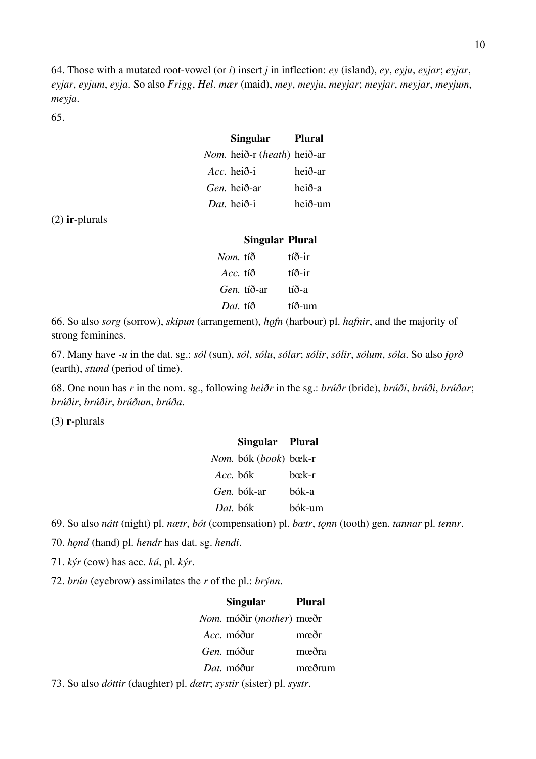64. Those with a mutated root-vowel (or *i*) insert *j* in inflection: *ey* (island), *ey*, *eyju*, *eyjar*; *eyjar*, *eyjar*, *eyjum*, *eyja*. So also *Frigg*, *Hel*. *mær* (maid), *mey*, *meyju*, *meyjar*; *meyjar*, *meyjar*, *meyjum*, *meyja*.

65.

| <b>Singular</b>                    | Plural  |
|------------------------------------|---------|
| <i>Nom.</i> heið-r (heath) heið-ar |         |
| <i>Acc.</i> heið-i                 | heið-ar |
| <i>Gen.</i> heið-ar                | heið-a  |
| Dat. heið-i                        | heið-um |
|                                    |         |

(2) **ir**-plurals

### **Singular Plural**

| <i>Nom.</i> tíð   | tíð-ir |
|-------------------|--------|
| <i>Acc.</i> tíð   | tíð-ir |
| <i>Gen</i> tíð-ar | tíð-a  |
| Dat. tíð          | tíð-um |

66. So also *sorg* (sorrow), *skipun* (arrangement), *hǫfn* (harbour) pl. *hafnir*, and the majority of strong feminines.

67. Many have *-u* in the dat. sg.: *sól* (sun), *sól*, *sólu*, *sólar*; *sólir*, *sólir*, *sólum*, *sóla*. So also *jǫrð* (earth), *stund* (period of time).

68. One noun has *r* in the nom. sg., following *heiðr* in the sg.: *brúðr* (bride), *brúði*, *brúði*, *brúðar*; *brúðir*, *brúðir*, *brúðum*, *brúða*.

(3) **r**-plurals

|          | Singular Plural                       |        |
|----------|---------------------------------------|--------|
|          | <i>Nom.</i> bók ( <i>book</i> ) bœk-r |        |
| Acc. bók |                                       | hæk-r  |
|          | <i>Gen</i> , bók-ar                   | bók-a  |
| Dat. bók |                                       | bók-um |

69. So also *nátt* (night) pl. *nætr*, *bót* (compensation) pl. *bœtr*, *tǫnn* (tooth) gen. *tannar* pl. *tennr*.

70. *hǫnd* (hand) pl. *hendr* has dat. sg. *hendi*.

71. *kýr* (cow) has acc. *kú*, pl. *kýr*.

72. *brún* (eyebrow) assimilates the *r* of the pl.: *brýnn*.

| <b>Singular</b>                          | <b>Plural</b> |
|------------------------------------------|---------------|
| <i>Nom.</i> móðir ( <i>mother</i> ) mœðr |               |
| <i>Acc.</i> móður                        | mœðr          |
| <i>Gen</i> , móður                       | mœðra         |
| Dat. móður                               | mæðrum        |
|                                          |               |

73. So also *dóttir* (daughter) pl. *dœtr*; *systir* (sister) pl. *systr*.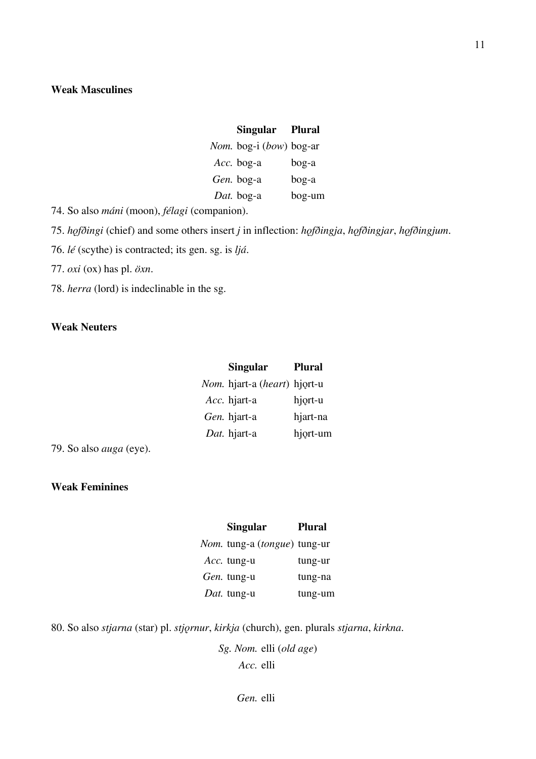### **Weak Masculines**

# **Singular Plural** *Nom.* bog-i (*bow*) bog-ar *Acc.* bog-a bog-a *Gen.* bog-a bog-a

*Dat.* bog-a bog-um

74. So also *máni* (moon), *félagi* (companion).

75. *hǫfðingi* (chief) and some others insert *j* in inflection: *hǫfðingja*, *hǫfðingjar*, *hǫfðingjum*.

76. *lé* (scythe) is contracted; its gen. sg. is *ljá*.

77. *oxi* (ox) has pl. *öxn*.

78. *herra* (lord) is indeclinable in the sg.

### **Weak Neuters**

| <b>Singular</b>                              | <b>Plural</b> |
|----------------------------------------------|---------------|
| <i>Nom.</i> hjart-a ( <i>heart</i> ) hjort-u |               |
| Acc. hjart-a                                 | hjort-u       |
| Gen. hjart-a                                 | hjart-na      |
| Dat. hjart-a                                 | hjort-um      |

79. So also *auga* (eye).

### **Weak Feminines**

| <b>Singular</b>                              | <b>Plural</b> |
|----------------------------------------------|---------------|
| <i>Nom.</i> tung-a ( <i>tongue</i> ) tung-ur |               |
| Acc. tung-u                                  | tung-ur       |
| <i>Gen.</i> tung-u                           | tung-na       |
| Dat. tung-u                                  | tung-um       |

80. So also *stjarna* (star) pl. *stjǫrnur*, *kirkja* (church), gen. plurals *stjarna*, *kirkna*.

*Sg. Nom.* elli (*old age*) *Acc.* elli

11

*Gen.* elli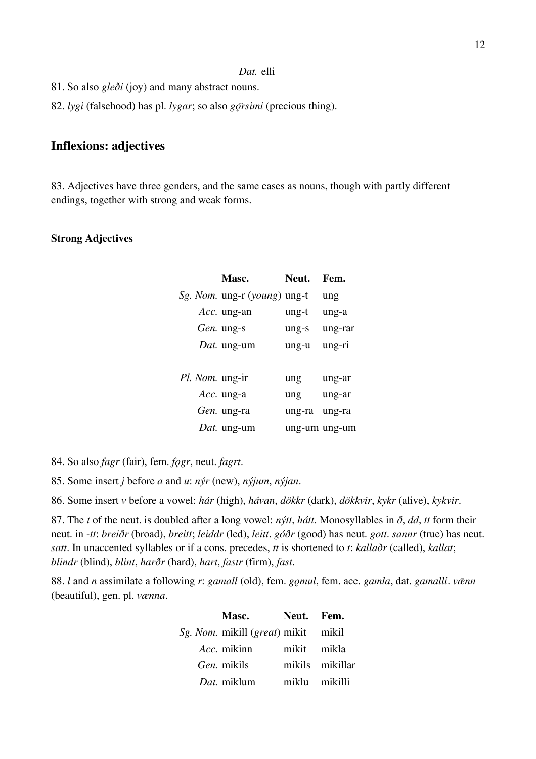#### *Dat.* elli

- 81. So also *gleði* (joy) and many abstract nouns.
- 82. *lygi* (falsehood) has pl. *lygar*; so also *gǫ̈rsimi* (precious thing).

# **Inflexions: adjectives**

83. Adjectives have three genders, and the same cases as nouns, though with partly different endings, together with strong and weak forms.

### **Strong Adjectives**

|                        | Masc.                                        | Neut.         | Fem.    |
|------------------------|----------------------------------------------|---------------|---------|
|                        | <i>Sg. Nom.</i> ung-r ( <i>young</i> ) ung-t |               | ung     |
|                        | Acc. ung-an                                  | ung-t         | ung-a   |
|                        | <i>Gen.</i> ung-s                            | ung-s         | ung-rar |
|                        | <i>Dat.</i> ung-um                           | ung-u         | ung-ri  |
|                        |                                              |               |         |
| <i>Pl. Nom.</i> ung-ir |                                              | ung           | ung-ar  |
|                        | Acc. ung-a                                   | ung           | ung-ar  |
|                        | Gen. ung-ra                                  | ung-ra        | ung-ra  |
|                        | <i>Dat.</i> ung-um                           | ung-um ung-um |         |

84. So also *fagr* (fair), fem. *fǫgr*, neut. *fagrt*.

85. Some insert *j* before *a* and *u*: *nýr* (new), *nýjum*, *nýjan*.

86. Some insert *v* before a vowel: *hár* (high), *hávan*, *dökkr* (dark), *dökkvir*, *kykr* (alive), *kykvir*.

87. The *t* of the neut. is doubled after a long vowel: *nýtt*, *hátt*. Monosyllables in *ð*, *dd*, *tt* form their neut. in *-tt*: *breiðr* (broad), *breitt*; *leiddr* (led), *leitt*. *góðr* (good) has neut. *gott*. *sannr* (true) has neut. *satt*. In unaccented syllables or if a cons. precedes, *tt* is shortened to *t*: *kallaðr* (called), *kallat*; *blindr* (blind), *blint*, *harðr* (hard), *hart*, *fastr* (firm), *fast*.

88. *l* and *n* assimilate a following *r*: *gamall* (old), fem. *gomul*, fem. acc. *gamla*, dat. *gamalli*. *venn* (beautiful), gen. pl. *vænna*.

| <b>Masc.</b>                                        | Neut. Fem.      |  |
|-----------------------------------------------------|-----------------|--|
| <i>Sg. Nom.</i> mikill ( <i>great</i> ) mikit mikil |                 |  |
| <i>Acc.</i> mikinn                                  | mikit mikla     |  |
| Gen. mikils                                         | mikils mikillar |  |
| Dat. miklum                                         | miklu mikilli   |  |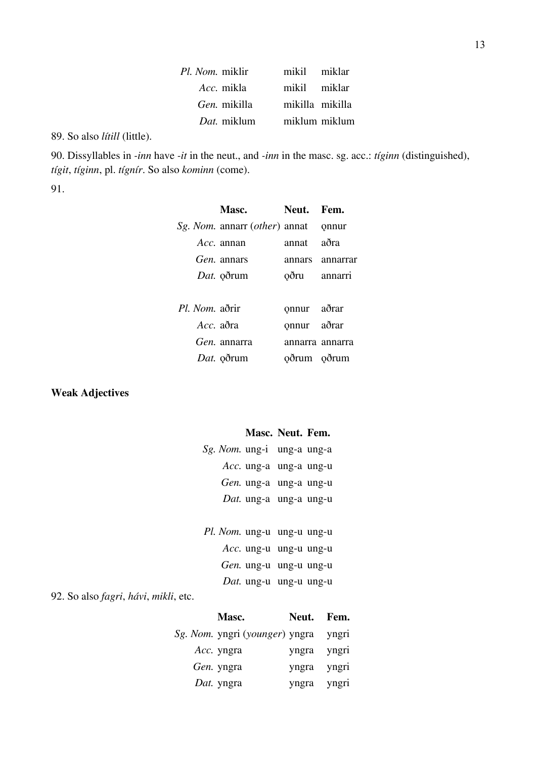| Pl. Nom. miklir     | mikil miklar    |               |
|---------------------|-----------------|---------------|
| <i>Acc.</i> mikla   | mikil miklar    |               |
| <i>Gen.</i> mikilla | mikilla mikilla |               |
| <i>Dat</i> . miklum |                 | miklum miklum |

89. So also *lítill* (little).

90. Dissyllables in *-inn* have *-it* in the neut., and *-inn* in the masc. sg. acc.: *tíginn* (distinguished), *tígit*, *tíginn*, pl. *tígnír*. So also *kominn* (come).

91.

|              | Masc.                                       | Neut. Fem.      |                 |
|--------------|---------------------------------------------|-----------------|-----------------|
|              | <i>Sg. Nom.</i> annarr <i>(other)</i> annat |                 | onnur           |
|              | Acc. annan                                  | annat           | aðra            |
|              | <i>Gen.</i> annars                          |                 | annars annarrar |
|              | Dat. oðrum                                  | oðru annarri    |                 |
|              |                                             |                 |                 |
| Pl Nom aðrir |                                             | onnur aðrar     |                 |
| Acc. aðra    |                                             | onnur aðrar     |                 |
|              | <i>Gen.</i> annarra                         | annarra annarra |                 |
|              | Dat. oðrum                                  | oðrum oðrum     |                 |
|              |                                             |                 |                 |

# **Weak Adjectives**

# **Masc. Neut. Fem.**

| <i>Sg. Nom.</i> ung-i ung-a ung-a |                        |  |
|-----------------------------------|------------------------|--|
|                                   | Acc. ung-a ung-a ung-u |  |
|                                   | Gen. ung-a ung-a ung-u |  |
|                                   | Dat. ung-a ung-a ung-u |  |

| Pl. Nom. ung-u ung-u ung-u |                        |  |
|----------------------------|------------------------|--|
|                            | Acc. ung-u ung-u ung-u |  |
|                            | Gen. ung-u ung-u ung-u |  |
|                            | Dat. ung-u ung-u ung-u |  |

92. So also *fagri*, *hávi*, *mikli*, etc.

| <b>Masc.</b>                   | Neut. | Fem.  |
|--------------------------------|-------|-------|
| Sg. Nom. yngri (younger) yngra |       | yngri |
| Acc. yngra                     | yngra | yngri |
| Gen. yngra                     | yngra | yngri |
| Dat. yngra                     | yngra | yngri |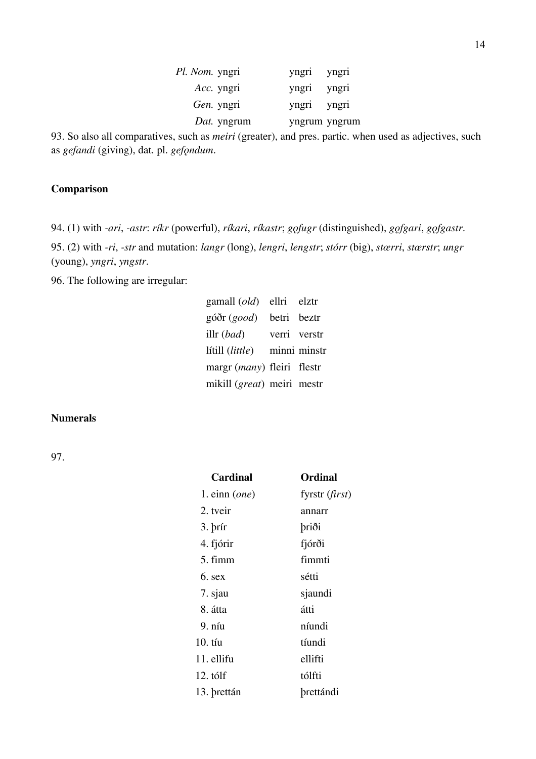| <i>Pl. Nom.</i> yngri | yngri         | yngri |
|-----------------------|---------------|-------|
| Acc. yngri            | yngri         | yngri |
| Gen. yngri            | yngri         | yngri |
| <i>Dat.</i> yngrum    | yngrum yngrum |       |

93. So also all comparatives, such as *meiri* (greater), and pres. partic. when used as adjectives, such as *gefandi* (giving), dat. pl. *gefǫndum*.

### **Comparison**

94. (1) with *-ari*, *-astr*: *ríkr* (powerful), *ríkari*, *ríkastr*; *gǫfugr* (distinguished), *gǫfgari*, *gǫfgastr*.

95. (2) with *-ri*, *-str* and mutation: *langr* (long), *lengri*, *lengstr*; *stórr* (big), *stœrri*, *stœrstr*; *ungr* (young), *yngri*, *yngstr*.

96. The following are irregular:

| gamall $\left($ old $\right)$ | ellri       | elztr        |
|-------------------------------|-------------|--------------|
| góðr (good)                   | betri beztr |              |
| illr $(bad)$                  |             | verri verstr |
| lítill (little)               |             | minni minstr |
| margr (many) fleiri flestr    |             |              |
| mikill (great) meiri mestr    |             |              |

### **Numerals**

97.

| <b>Cardinal</b> | Ordinal          |
|-----------------|------------------|
| 1. $einn$ (one) | fyrstr $(first)$ |
| 2. tveir        | annarr           |
| 3. brír         | þriði            |
| 4. fjórir       | fjórði           |
| 5. fimm         | fimmti           |
| 6. sex          | sétti            |
| 7. sjau         | sjaundi          |
| 8. átta         | átti             |
| 9. níu          | níundi           |
| $10. t$ íu      | tíundi           |
| 11. ellifu      | ellifti          |
| 12. tólf        | tólfti           |
| 13. brettán     | <b>brettándi</b> |
|                 |                  |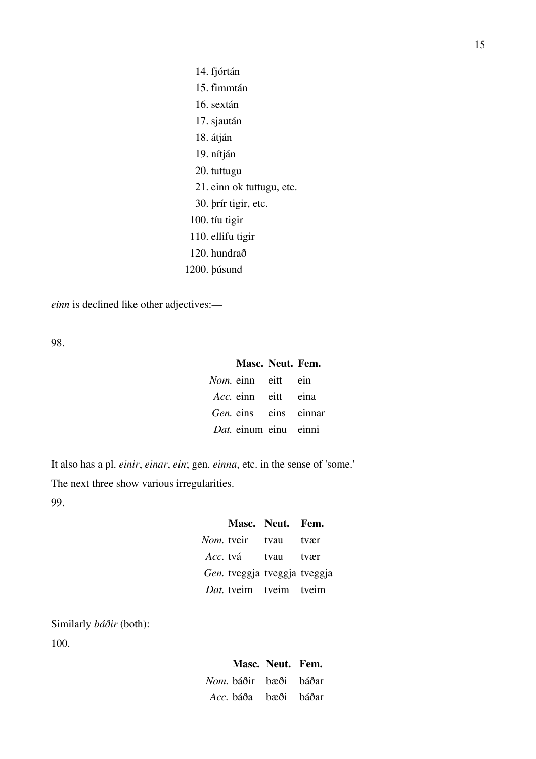14. fjórtán 15. fimmtán 16. sextán 17. sjaután 18. átján 19. nítján 20. tuttugu 21. einn ok tuttugu, etc. 30. þrír tigir, etc. 100. tíu tigir 110. ellifu tigir 120. hundrað 1200. þúsund

*einn* is declined like other adjectives:—

98.

### **Masc. Neut. Fem.**

| Nom. einn eitt ein         |  |
|----------------------------|--|
| <i>Acc.</i> einn eitt eina |  |
| Gen. eins eins einnar      |  |
| Dat. einum einu einni      |  |

It also has a pl. *einir*, *einar*, *ein*; gen. *einna*, etc. in the sense of 'some.' The next three show various irregularities. 99.

|                              | Masc. Neut. Fem. |      |
|------------------------------|------------------|------|
| <i>Nom.</i> tveir tvau       |                  | tvær |
| Acc. tvá tvau tvær           |                  |      |
| Gen. tveggja tveggja tveggja |                  |      |
| Dat. tveim tveim tveim       |                  |      |

Similarly *báðir* (both): 100.

# **Masc. Neut. Fem.** *Nom.* báðir bæði báðar *Acc.* báða bæði báðar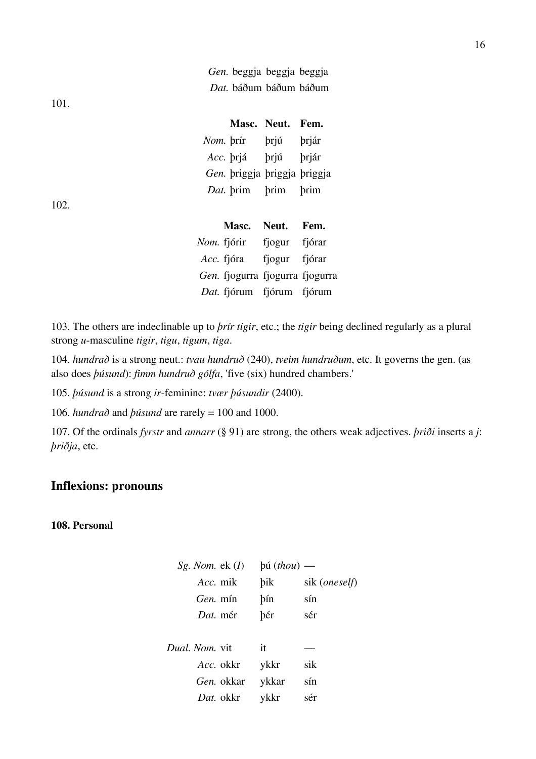|  |  | Gen. beggja beggja beggja |
|--|--|---------------------------|
|  |  | Dat. báðum báðum báðum    |

101.

|           |                              | Masc. Neut. Fem. |              |
|-----------|------------------------------|------------------|--------------|
| Nom. brír |                              | brjú             | brjár        |
| Acc. brjá |                              | <b>brjú</b>      | <b>brjár</b> |
|           | Gen. priggja priggja priggja |                  |              |
|           | Dat. brim                    | brim             | brim         |
|           |                              |                  |              |

102.

| Masc.                           | Neut.         | Fem.   |
|---------------------------------|---------------|--------|
| <i>Nom.</i> fjórir              | fjogur        | fjórar |
| Acc. fjóra                      | fjogur fjórar |        |
| Gen. fjogurra fjogurra fjogurra |               |        |
| Dat. fjórum fjórum fjórum       |               |        |

103. The others are indeclinable up to *þrír tigir*, etc.; the *tigir* being declined regularly as a plural strong *u*-masculine *tigir*, *tigu*, *tigum*, *tiga*.

104. *hundrað* is a strong neut.: *tvau hundruð* (240), *tveim hundruðum*, etc. It governs the gen. (as also does *þúsund*): *fimm hundruð gólfa*, 'five (six) hundred chambers.'

105. *þúsund* is a strong *ir*-feminine: *tvær þúsundir* (2400).

106. *hundrað* and *þúsund* are rarely = 100 and 1000.

107. Of the ordinals *fyrstr* and *annarr* (§ 91) are strong, the others weak adjectives. *þriði* inserts a *j*: *þriðja*, etc.

# **Inflexions: pronouns**

### **108. Personal**

| Sg. Nom. $ek(I)$      | $\phi$ ú (thou) — |                        |
|-----------------------|-------------------|------------------------|
| Acc. mik              | bik               | sik ( <i>oneself</i> ) |
| Gen. mín              | bín               | sín                    |
| Dat. mér              | þér               | sér                    |
|                       |                   |                        |
| <i>Dual. Nom.</i> vit | it                |                        |
| Acc. okkr             | ykkr              | sik                    |
| <i>Gen.</i> okkar     | ykkar             | sín                    |
| Dat. okkr             | ykkr              | sér                    |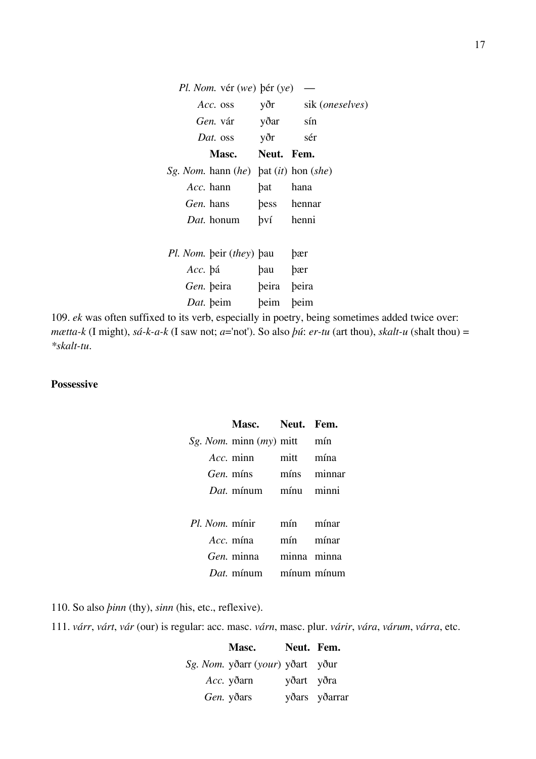| <i>Pl. Nom.</i> vér (we) bér (ye)           |          |                              |
|---------------------------------------------|----------|------------------------------|
| Acc. oss                                    |          | yðr sik ( <i>oneselves</i> ) |
| Gen. vár yðar sín                           |          |                              |
| Dat. oss yðr sér                            |          |                              |
| Masc. Neut. Fem.                            |          |                              |
| Sg. Nom. hann $(he)$ bat $(it)$ hon $(she)$ |          |                              |
| Acc. hann                                   | bat hana |                              |
| Gen. hans bess hennar                       |          |                              |
| Dat. honum bví henni                        |          |                              |
|                                             |          |                              |
| <i>Pl. Nom.</i> beir <i>(they)</i> bau bær  |          |                              |
| Acc. þá                                     | bau bær  |                              |
| Gen. beira beira beira                      |          |                              |
| Dat. beim beim beim                         |          |                              |
|                                             |          |                              |

109. *ek* was often suffixed to its verb, especially in poetry, being sometimes added twice over: *mætta-k* (I might), *sá-k-a-k* (I saw not; *a*='not'). So also *þú*: *er-tu* (art thou), *skalt-u* (shalt thou) = *\*skalt-tu*.

### **Possessive**

| Masc. Neut. Fem.                            |           |  |
|---------------------------------------------|-----------|--|
| <i>Sg. Nom.</i> minn ( <i>my</i> ) mitt min |           |  |
| Acc. minn mitt mína                         |           |  |
| Gen. míns míns minnar                       |           |  |
| Dat. mínum mínu minni                       |           |  |
|                                             |           |  |
| Pl. Nom. mínir mín mínar                    |           |  |
| Acc. mína                                   | mín mínar |  |
| Gen. minna minna minna                      |           |  |
| Dat. mínum mínum mínum                      |           |  |

110. So also *þinn* (thy), *sinn* (his, etc., reflexive).

111. *várr*, *várt*, *vár* (our) is regular: acc. masc. *várn*, masc. plur. *várir*, *vára*, *várum*, *várra*, etc.

**Masc. Neut. Fem.** *Sg. Nom.* yðarr (*your*) yðart yður *Acc.* yðarn yðart yðra *Gen.* yðars yðars yðarrar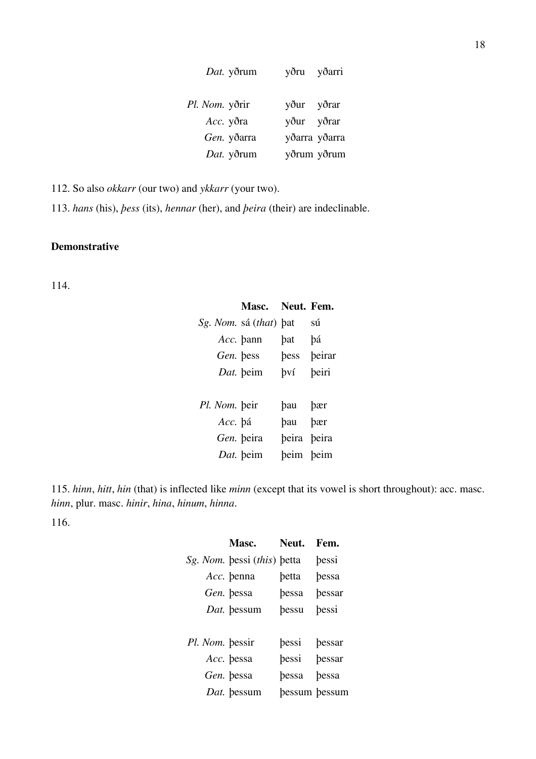| Dat. yðrum     | yðarri<br>yðru |
|----------------|----------------|
| Pl. Nom. yðrir | yður yðrar     |
| Acc. yðra      | yður yðrar     |
| Gen. yðarra    | yðarra yðarra  |
| Dat. yðrum     | yðrum yðrum    |

112. So also *okkarr* (our two) and *ykkarr* (your two).

113. *hans* (his), *þess* (its), *hennar* (her), and *þeira* (their) are indeclinable.

### **Demonstrative**

114.

|                        | Masc. Neut. Fem. |             |        |
|------------------------|------------------|-------------|--------|
| Sg. Nom. sá (that) bat |                  |             | sú     |
|                        | Acc. bann        | bat         | bá     |
| Gen. bess              |                  | bess        | beirar |
|                        | Dat. beim        | bv1         | beiri  |
|                        |                  |             |        |
| Pl. Nom. beir          |                  | bau bær     |        |
| Acc. bá                |                  | bau bær     |        |
|                        | Gen. beira       | beira beira |        |
|                        | Dat. beim        | beim beim   |        |

115. *hinn*, *hitt*, *hin* (that) is inflected like *minn* (except that its vowel is short throughout): acc. masc. *hinn*, plur. masc. *hinir*, *hina*, *hinum*, *hinna*.

116.

|                 | Masc.                       | Neut.         | Fem.   |
|-----------------|-----------------------------|---------------|--------|
|                 | Sg. Nom. bessi (this) betta |               | bessi  |
|                 | Acc. benna                  | betta         | bessa  |
|                 | Gen. bessa                  | bessa         | bessar |
|                 | Dat. bessum                 | bessu         | bessi  |
|                 |                             |               |        |
| Pl. Nom. bessir |                             | bessi         | bessar |
|                 | Acc. bessa                  | bessi         | bessar |
|                 | Gen. bessa                  | bessa         | bessa  |
|                 | Dat. bessum                 | bessum bessum |        |
|                 |                             |               |        |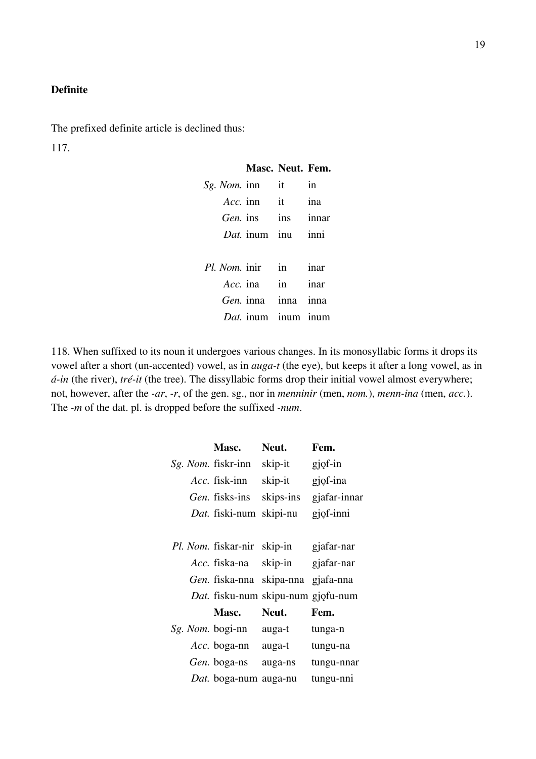### **Definite**

The prefixed definite article is declined thus:

117.

# **Masc. Neut. Fem.** *Sg. Nom.* inn it in *Acc.* inn it ina *Gen.* ins ins innar *Dat.* inum inu inni *Pl. Nom.* inir in inar *Acc.* ina in inar *Gen.* inna inna inna *Dat.* inum inum inum

118. When suffixed to its noun it undergoes various changes. In its monosyllabic forms it drops its vowel after a short (un-accented) vowel, as in *auga-t* (the eye), but keeps it after a long vowel, as in *á-in* (the river), *tré-it* (the tree). The dissyllabic forms drop their initial vowel almost everywhere; not, however, after the *-ar*, *-r*, of the gen. sg., nor in *menninir* (men, *nom.*), *menn-ina* (men, *acc.*). The *-m* of the dat. pl. is dropped before the suffixed *-num*.

| Masc.                      | Neut.                              | Fem.         |
|----------------------------|------------------------------------|--------------|
| <i>Sg. Nom.</i> fiskr-inn  | skip-it                            | gjof-in      |
| <i>Acc.</i> fisk-inn       | skip-it                            | gjof-ina     |
| <i>Gen.</i> fisks-ins      | skips-ins                          | gjafar-innar |
| Dat. fiski-num             | skipi-nu                           | gjof-inni    |
|                            |                                    |              |
| <i>Pl. Nom.</i> fiskar-nir | skip-in                            | gjafar-nar   |
| Acc. fiska-na              | skip-in                            | gjafar-nar   |
| <i>Gen.</i> fiska-nna      | skipa-nna                          | gjafa-nna    |
|                            | Dat. fisku-num skipu-num gjofu-num |              |
| <b>Masc.</b>               | Neut.                              | Fem.         |
| Sg. Nom. bogi-nn           | auga-t                             | tunga-n      |
| <i>Acc.</i> boga-nn        | auga-t                             | tungu-na     |
| <i>Gen.</i> boga-ns        | auga-ns                            | tungu-nnar   |
| Dat. boga-num auga-nu      |                                    | tungu-nni    |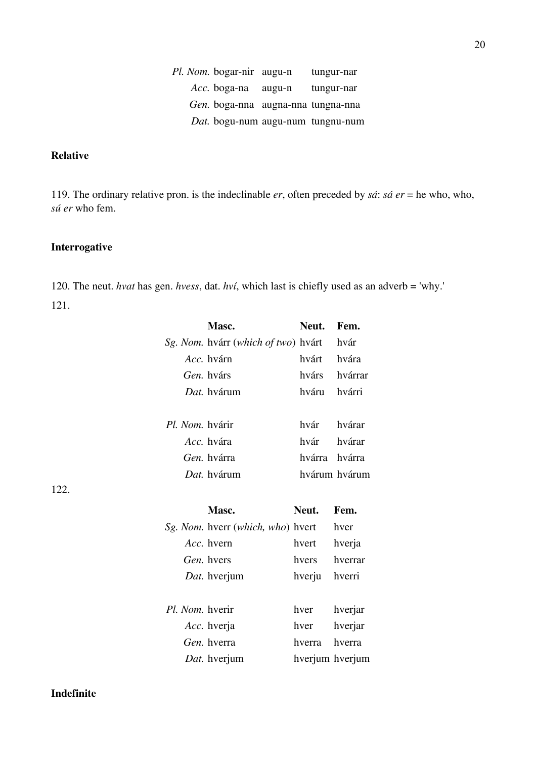*Pl. Nom.* bogar-nir augu-n tungur-nar *Acc.* boga-na augu-n tungur-nar *Gen.* boga-nna augna-nna tungna-nna *Dat.* bogu-num augu-num tungnu-num

# **Relative**

119. The ordinary relative pron. is the indeclinable *er*, often preceded by *sá*: *sá er* = he who, who, *sú er* who fem.

### **Interrogative**

120. The neut. *hvat* has gen. *hvess*, dat. *hví*, which last is chiefly used as an adverb = 'why.' 121.

|                 | Masc.                               | Neut.  | Fem.          |
|-----------------|-------------------------------------|--------|---------------|
|                 | Sg. Nom. hvárr (which of two) hvárt |        | hvár          |
|                 | Acc. hvárn                          | hvárt  | hvára         |
|                 | Gen. hvárs                          | hvárs  | hvárrar       |
|                 | Dat. hvárum                         | hváru  | hvárri        |
|                 |                                     |        |               |
| Pl. Nom. hvárir |                                     | hvár   | hvárar        |
|                 | Acc. hvára                          | hvár   | hvárar        |
|                 | Gen. hvárra                         | hvárra | hvárra        |
|                 | Dat. hvárum                         |        | hvárum hvárum |
|                 |                                     |        |               |
|                 |                                     |        |               |
|                 | Masc.                               | Neut.  | Fem.          |
|                 | Sg. Nom. hverr (which, who) hvert   |        | hver          |
|                 | Acc. hvern                          | hvert  | hverja        |
|                 | Gen. hvers                          | hvers  | hverrar       |
|                 | Dat. hverjum                        | hverju | hverri        |
|                 |                                     |        |               |
| Pl. Nom. hverir |                                     | hver   | hverjar       |
|                 | Acc. hverja                         | hver   | hverjar       |
|                 | Gen. hverra                         | hverra | hverra        |

20

122.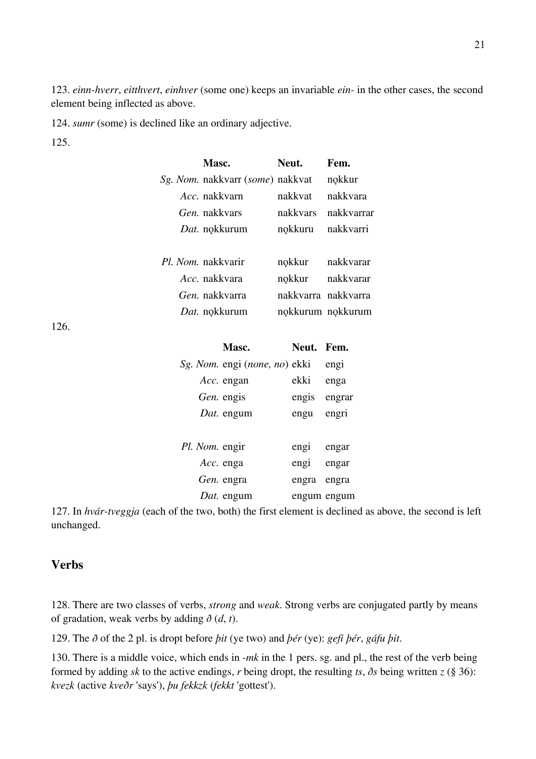123. *einn-hverr*, *eitthvert*, *einhver* (some one) keeps an invariable *ein-* in the other cases, the second element being inflected as above.

124. *sumr* (some) is declined like an ordinary adjective.

125.

126.

| Masc.                                   | Neut.             | Fem.                |
|-----------------------------------------|-------------------|---------------------|
| Sg. Nom. nakkvarr (some) nakkvat nokkur |                   |                     |
| Acc. nakkvarn                           | nakkvat nakkvara  |                     |
| Gen. nakkvars                           |                   | nakkvars nakkvarrar |
| Dat. nokkurum                           | nokkuru nakkvarri |                     |
| Pl. Nom. nakkvarir                      |                   | nokkur nakkvarar    |
| <i>Acc.</i> nakkvara                    |                   | nokkur nakkvarar    |
| Gen. nakkvarra bakkvarra nakkvarra      |                   |                     |
| <i>Dat.</i> nokkurum                    |                   | nokkurum nokkurum   |
|                                         |                   |                     |
| Masc.                                   | Neut. Fem.        |                     |
| <i>Sg. Nom.</i> engi (none, no) ekki    |                   | engi                |
| Acc. engan                              | ekki              | enga                |
| <i>Gen.</i> engis                       | engis engrar      |                     |
| Dat. engum                              | engu              | engri               |
|                                         |                   |                     |
| Pl. Nom. engir                          | engi engar        |                     |
| Acc. enga                               | engi engar        |                     |
| Gen. engra                              | engra engra       |                     |

127. In *hvár-tveggja* (each of the two, both) the first element is declined as above, the second is left unchanged.

*Dat.* engum engum engum

# **Verbs**

128. There are two classes of verbs, *strong* and *weak*. Strong verbs are conjugated partly by means of gradation, weak verbs by adding  $\delta(d, t)$ .

129. The *ð* of the 2 pl. is dropt before *þit* (ye two) and *þér* (ye): *gefi þér*, *gáfu þit*.

130. There is a middle voice, which ends in *-mk* in the 1 pers. sg. and pl., the rest of the verb being formed by adding *sk* to the active endings, *r* being dropt, the resulting *ts*, *ðs* being written *z* (§ 36): *kvezk* (active *kveðr* 'says'), *þu fekkzk* (*fekkt* 'gottest').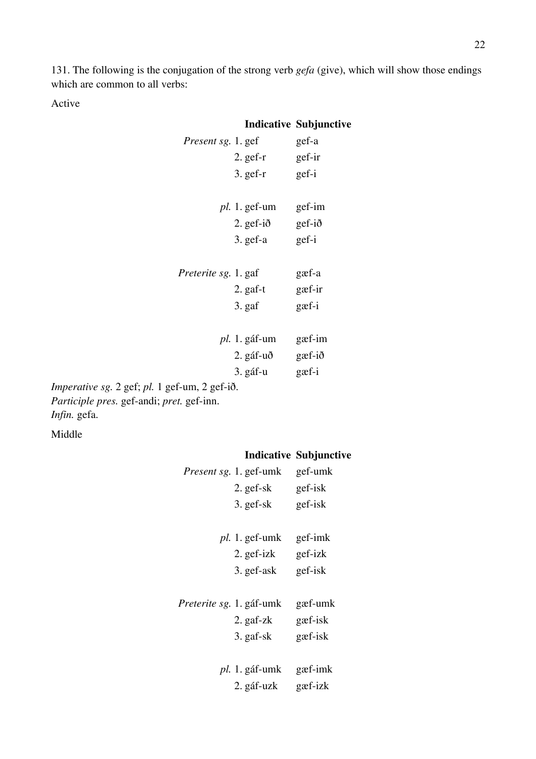131. The following is the conjugation of the strong verb *gefa* (give), which will show those endings which are common to all verbs:

Active

|                                                      |                      | <b>Indicative Subjunctive</b> |
|------------------------------------------------------|----------------------|-------------------------------|
| Present sg. 1. gef                                   |                      | gef-a                         |
|                                                      | $2.$ gef-r           | gef-ir                        |
|                                                      | $3.$ gef-r           | gef-i                         |
|                                                      |                      |                               |
|                                                      | $pl. 1. get-um$      | gef-im                        |
|                                                      | $2.$ gef-ið gef-ið   |                               |
|                                                      | $3.$ gef-a           | gef-i                         |
|                                                      |                      |                               |
| <i>Preterite sg.</i> 1. gaf                          |                      | gæf-a                         |
|                                                      | $2.$ gaf-t           | gæf-ir                        |
|                                                      | 3. gaf               | $g$ æf-i                      |
|                                                      |                      |                               |
|                                                      | <i>pl.</i> 1. gáf-um | gæf-im                        |
|                                                      | 2. gáf-uð            | $g$ æf-ið                     |
|                                                      | 3. gáf-u             | gæf-i                         |
| 1 $\mathcal{L}$ $\sim$ 0 $\mathcal{L}$ $\mathcal{R}$ |                      |                               |

*Imperative sg.* 2 gef; *pl.* 1 gef-um, 2 gef-ið. *Participle pres.* gef-andi; *pret.* gef-inn. *Infin.* gefa.

Middle

# **Indicative Subjunctive**

|                          | Present sg. 1. gef-umk | gef-umk |
|--------------------------|------------------------|---------|
|                          | 2. gef-sk              | gef-isk |
|                          | $3.$ gef-sk            | gef-isk |
|                          |                        |         |
|                          | $pl. 1. get$ -umk      | gef-imk |
|                          | 2. gef-izk             | gef-izk |
|                          | 3. gef-ask             | gef-isk |
|                          |                        |         |
| Preterite sg. 1. gáf-umk |                        | gæf-umk |
|                          | $2.$ gaf-z $k$         | gæf-isk |
|                          |                        |         |
|                          | 3. gaf-sk              | gæf-isk |
|                          |                        |         |
|                          | <i>pl.</i> 1. gáf-umk  | gæf-imk |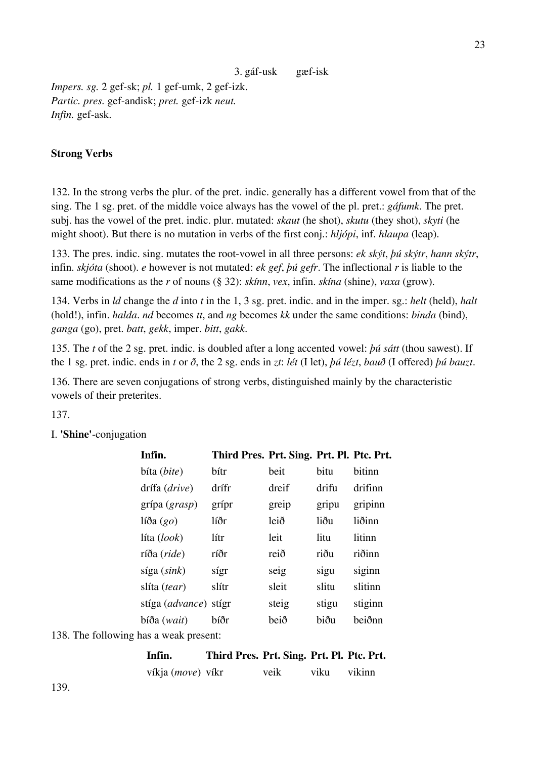*Impers. sg.* 2 gef-sk; *pl.* 1 gef-umk, 2 gef-izk. *Partic. pres.* gef-andisk; *pret.* gef-izk *neut. Infin.* gef-ask.

### **Strong Verbs**

132. In the strong verbs the plur. of the pret. indic. generally has a different vowel from that of the sing. The 1 sg. pret. of the middle voice always has the vowel of the pl. pret.: *gáfumk*. The pret. subj. has the vowel of the pret. indic. plur. mutated: *skaut* (he shot), *skutu* (they shot), *skyti* (he might shoot). But there is no mutation in verbs of the first conj.: *hljópi*, inf. *hlaupa* (leap).

133. The pres. indic. sing. mutates the root-vowel in all three persons: *ek skýt*, *þú skýtr*, *hann skýtr*, infin. *skjóta* (shoot). *e* however is not mutated: *ek gef*, *þú gefr*. The inflectional *r* is liable to the same modifications as the *r* of nouns (§ 32): *skínn*, *vex*, infin. *skína* (shine), *vaxa* (grow).

134. Verbs in *ld* change the *d* into *t* in the 1, 3 sg. pret. indic. and in the imper. sg.: *helt* (held), *halt* (hold!), infin. *halda*. *nd* becomes *tt*, and *ng* becomes *kk* under the same conditions: *binda* (bind), *ganga* (go), pret. *batt*, *gekk*, imper. *bitt*, *gakk*.

135. The *t* of the 2 sg. pret. indic. is doubled after a long accented vowel: *þú sátt* (thou sawest). If the 1 sg. pret. indic. ends in *t* or *ð*, the 2 sg. ends in *zt*: *lét* (I let), *þú lézt*, *bauð* (I offered) *þú bauzt*.

136. There are seven conjugations of strong verbs, distinguished mainly by the characteristic vowels of their preterites.

137.

I. **'Shine'**-conjugation

| Infin.                 | Third Pres. Prt. Sing. Prt. Pl. Ptc. Prt. |       |       |         |
|------------------------|-------------------------------------------|-------|-------|---------|
| bíta ( <i>bite</i> )   | bítr                                      | beit  | bitu  | bitinn  |
| drífa (drive)          | drífr                                     | dreif | drifu | drifinn |
| grípa $(\text{grasp})$ | grípr                                     | greip | gripu | gripinn |
| líða $(go)$            | líðr                                      | leið  | liðu  | liðinn  |
| líta (look)            | lítr                                      | leit  | litu  | litinn  |
| ríða (ride)            | ríðr                                      | reið  | riðu  | riðinn  |
| síga (sink)            | sígr                                      | seig  | sigu  | siginn  |
| slíta (tear)           | slítr                                     | sleit | slitu | slitinn |
| stíga (advance)        | stígr                                     | steig | stigu | stiginn |
| bíða ( <i>wait</i> )   | bíðr                                      | beið  | biðu  | beiðnn  |
|                        |                                           |       |       |         |

138. The following has a weak present:

| Infin. | Third Pres. Prt. Sing. Prt. Pl. Ptc. Prt. |  |  |  |
|--------|-------------------------------------------|--|--|--|
|        |                                           |  |  |  |

| víkja (move) víkr |  | veik | viku | vikinn |
|-------------------|--|------|------|--------|
|-------------------|--|------|------|--------|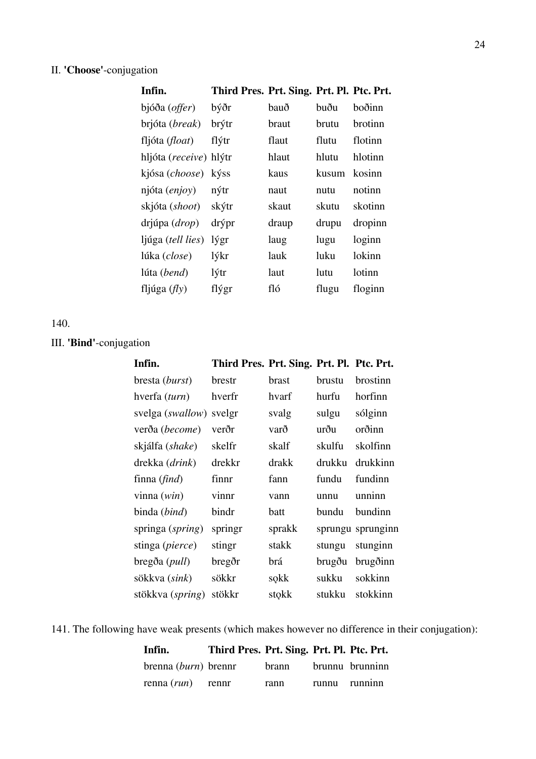# II. **'Choose'**-conjugation

| Infin.                          | Third Pres. Prt. Sing. Prt. Pl. Ptc. Prt. |       |       |         |
|---------------------------------|-------------------------------------------|-------|-------|---------|
| bjóða ( <i>offer</i> )          | býðr                                      | bauð  | buðu  | boðinn  |
| brjóta (break)                  | brýtr                                     | braut | brutu | brotinn |
| fljóta ( <i>float</i> )         | flýtr                                     | flaut | flutu | flotinn |
| hljóta ( <i>receive</i> ) hlýtr |                                           | hlaut | hlutu | hlotinn |
| kjósa ( <i>choose</i> )         | kýss                                      | kaus  | kusum | kosinn  |
| njóta <i>(enjoy)</i>            | nýtr                                      | naut  | nutu  | notinn  |
| skjóta (shoot)                  | skýtr                                     | skaut | skutu | skotinn |
| drjúpa ( <i>drop</i> )          | drýpr                                     | draup | drupu | dropinn |
| ljúga (tell lies)               | lýgr                                      | laug  | lugu  | loginn  |
| lúka (close)                    | lýkr                                      | lauk  | luku  | lokinn  |
| lúta (bend)                     | lýtr                                      | laut  | lutu. | lotinn  |
| fljúga $(f/y)$                  | flýgr                                     | fló   | flugu | floginn |
|                                 |                                           |       |       |         |

# 140.

# III. **'Bind'**-conjugation

| Infin.                 | Third Pres. Prt. Sing. Prt. Pl. Ptc. Prt. |        |        |                   |
|------------------------|-------------------------------------------|--------|--------|-------------------|
| bresta (burst)         | brestr                                    | brast  | brustu | brostinn          |
| hverfa (turn)          | hverfr                                    | hvarf  | hurfu  | horfinn           |
| svelga (swallow)       | svelgr                                    | svalg  | sulgu  | sólginn           |
| verða (become)         | verðr                                     | varð   | urðu   | orðinn            |
| skjálfa (shake)        | skelfr                                    | skalf  | skulfu | skolfinn          |
| drekka (drink)         | drekkr                                    | drakk  | drukku | drukkinn          |
| finna $(\text{find})$  | finnr                                     | fann   | fundu  | fundinn           |
| vinna $(win)$          | vinnr                                     | vann   | unnu   | unninn            |
| binda ( <i>bind</i> )  | bindr                                     | batt   | bundu  | bundinn           |
| springa (spring)       | springr                                   | sprakk |        | sprungu sprunginn |
| stinga (pierce)        | stingr                                    | stakk  | stungu | stunginn          |
| bregða ( <i>pull</i> ) | bregðr                                    | brá    | brugðu | brugðinn          |
| sökkva (sink)          | sökkr                                     | sokk   | sukku  | sokkinn           |
| stökkva (spring)       | stökkr                                    | stokk  | stukku | stokkinn          |

141. The following have weak presents (which makes however no difference in their conjugation):

| Infin.                 | Third Pres. Prt. Sing. Prt. Pl. Ptc. Prt. |                       |               |
|------------------------|-------------------------------------------|-----------------------|---------------|
| brenna $(burn)$ brennr |                                           | brann brunnu brunninn |               |
| renna $(run)$ rennr    |                                           | rann                  | runnu runninn |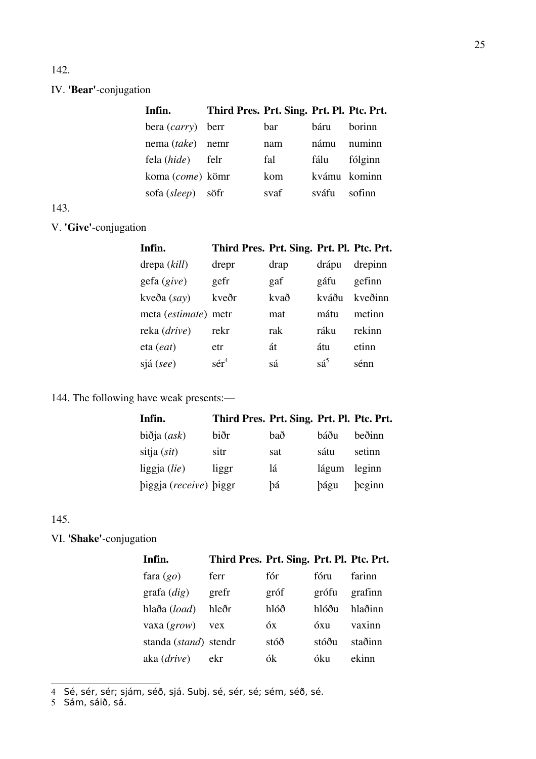# 142.

# IV. **'Bear'**-conjugation

| Infin.                   | Third Pres. Prt. Sing. Prt. Pl. Ptc. Prt. |      |              |         |
|--------------------------|-------------------------------------------|------|--------------|---------|
| bera <i>(carry)</i> berr |                                           | bar  | háru         | horinn  |
| nema (take) nemr         |                                           | nam  | námu         | numinn  |
| fela (hide)              | felr                                      | fal  | fálu         | fólginn |
| koma (come) kömr         |                                           | kom  | kvámu kominn |         |
| sofa (sleep) söfr        |                                           | svaf | sváfu        | sofinn  |
|                          |                                           |      |              |         |

# 143.

# V. **'Give'**-conjugation

| Infin.               | Third Pres. Prt. Sing. Prt. Pl. Ptc. Prt. |      |                |         |
|----------------------|-------------------------------------------|------|----------------|---------|
| drepa (kill)         | drepr                                     | drap | drápu          | drepinn |
| $geta$ (give)        | gefr                                      | gaf  | gáfu           | gefinn  |
| kveða (say)          | kveðr                                     | kvað | kváðu          | kveðinn |
| meta (estimate) metr |                                           | mat  | mátu           | metinn  |
| reka (drive)         | rekr                                      | rak  | ráku           | rekinn  |
| eta ( <i>eat</i> )   | etr                                       | át   | átu            | etinn   |
| sjá (see)            | $s$ é $r^4$                               | sá   | $s\acute{a}^5$ | sénn    |
|                      |                                           |      |                |         |

# 144. The following have weak presents:—

| Infin.                       | Third Pres. Prt. Sing. Prt. Pl. Ptc. Prt. |     |             |        |
|------------------------------|-------------------------------------------|-----|-------------|--------|
| $bi\delta$ ja ( <i>ask</i> ) | biðr                                      | bað | báðu        | beðinn |
| sitja $(sit)$                | sitr                                      | sat | sátu        | setinn |
| liggja $(lie)$               | liggr                                     | lá  | lágum       | leginn |
| biggja (receive) biggr       |                                           | þá  | <b>bágu</b> | beginn |

### 145.

VI. **'Shake'**-conjugation

| Infin.                | Third Pres. Prt. Sing. Prt. Pl. Ptc. Prt. |      |       |         |
|-----------------------|-------------------------------------------|------|-------|---------|
| fara $(go)$           | ferr                                      | fór  | fóru  | farinn  |
| grafa $(di)$          | grefr                                     | gróf | grófu | grafinn |
| hlaða (load)          | hleðr                                     | hlóð | hlóðu | hlaðinn |
| vaxa $(grow)$ vex     |                                           | óх   | óxu   | vaxinn  |
| standa (stand) stendr |                                           | stóð | stóðu | staðinn |
| aka (drive)           | ekr                                       | ók   | óku   | ekinn   |

<span id="page-24-0"></span>4 Sé, sér, sér; sjám, séð, sjá. Subj. sé, sér, sé; sém, séð, sé.

<span id="page-24-1"></span>5 Sám, sáið, sá.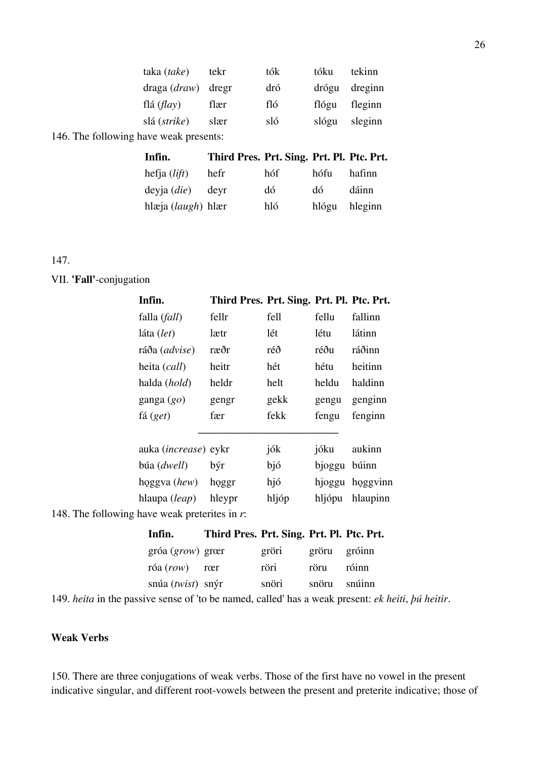| taka (take)                            | tekr | tók | tóku  | tekinn  |
|----------------------------------------|------|-----|-------|---------|
| $draga (draw)$ dregr                   |      | dró | drógu | dreginn |
| flá $\left(\frac{f}{dy}\right)$        | flær | fló | flógu | fleginn |
| slá ( <i>strike</i> )                  | slær | sló | slógu | sleginn |
| 146. The following have weak presents: |      |     |       |         |

| Infin.                 | Third Pres. Prt. Sing. Prt. Pl. Ptc. Prt. |     |               |        |
|------------------------|-------------------------------------------|-----|---------------|--------|
| hefja $(lift)$         | hefr                                      | hóf | hófu          | hafinn |
| $devja$ ( <i>die</i> ) | devr                                      | dó  | dó.           | dáinn  |
| hlæja $(laugh)$ hlær   |                                           | hló | hlógu hleginn |        |

147.

#### VII. **'Fall'**-conjugation

| Infin.                      | Third Pres. Prt. Sing. Prt. Pl. Ptc. Prt. |       |        |          |
|-----------------------------|-------------------------------------------|-------|--------|----------|
| falla ( <i>fall</i> )       | fellr                                     | fell  | fellu  | fallinn  |
| láta (let)                  | lætr                                      | lét   | létu   | látinn   |
| ráða (advise)               | ræðr                                      | réð   | réðu   | ráðinn   |
| heita (call)                | heitr                                     | hét   | hétu   | heitinn  |
| halda (hold)                | heldr                                     | helt  | heldu  | haldinn  |
| ganga $(go)$                | gengr                                     | gekk  | gengu  | genginn  |
| fá (get)                    | fær                                       | fekk  | fengu  | fenginn  |
|                             |                                           |       |        |          |
| auka (increase) eykr        |                                           | jók   | jóku   | aukinn   |
| búa (dwell)                 | býr                                       | bjó   | bjoggu | búinn    |
| hoggva (hew)                | hoggr                                     | hjó   | hjoggu | hoggyinn |
| hlaupa (leap)               | hleypr                                    | hljóp | hljópu | hlaupinn |
| o have weak preterites in r |                                           |       |        |          |

148. The following have weak preterites in *r*:

| Infin.                                         | Third Pres. Prt. Sing. Prt. Pl. Ptc. Prt. |       |              |       |
|------------------------------------------------|-------------------------------------------|-------|--------------|-------|
| $gr\acute{o}a (grow) gr\acute{a}r$             |                                           | gröri | gröru gróinn |       |
| $r$ óa $(row)$ rœr                             |                                           | röri  | röru         | róinn |
| $sn\acute{u}a$ ( <i>twist</i> ) $sn\acute{y}r$ |                                           | snöri | snöru snúinn |       |

149. *heita* in the passive sense of 'to be named, called' has a weak present: *ek heiti*, *þú heitir*.

### **Weak Verbs**

150. There are three conjugations of weak verbs. Those of the first have no vowel in the present indicative singular, and different root-vowels between the present and preterite indicative; those of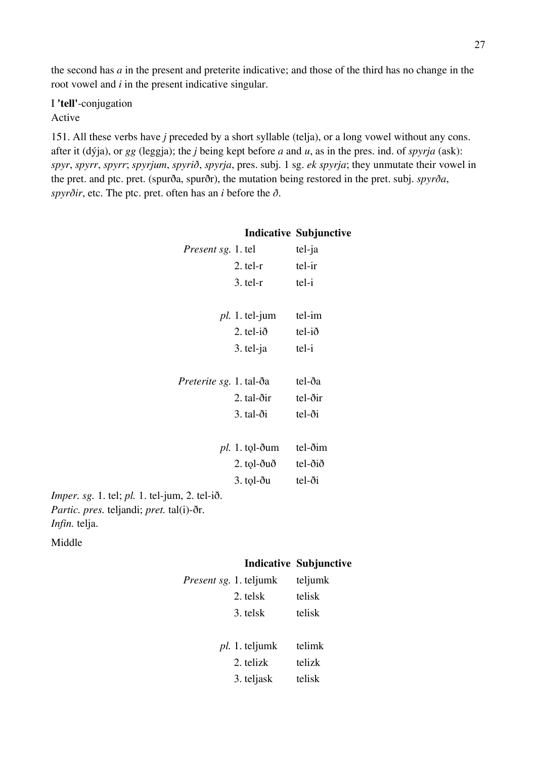the second has *a* in the present and preterite indicative; and those of the third has no change in the root vowel and *i* in the present indicative singular.

I **'tell'**-conjugation Active

151. All these verbs have *j* preceded by a short syllable (telja), or a long vowel without any cons. after it (dýja), or *gg* (leggja); the *j* being kept before *a* and *u*, as in the pres. ind. of *spyrja* (ask): *spyr*, *spyrr*, *spyrr*; *spyrjum*, *spyrið*, *spyrja*, pres. subj. 1 sg. *ek spyrja*; they unmutate their vowel in the pret. and ptc. pret. (spurða, spurðr), the mutation being restored in the pret. subj. *spyrða*, *spyrðir*, etc. The ptc. pret. often has an *i* before the *ð*.

|                                                                                                                                                         |                                    | <b>Indicative Subjunctive</b> |
|---------------------------------------------------------------------------------------------------------------------------------------------------------|------------------------------------|-------------------------------|
| <i>Present sg.</i> 1. tel                                                                                                                               |                                    | tel-ja                        |
|                                                                                                                                                         | $2.$ tel- $r$                      | tel-ir                        |
|                                                                                                                                                         | $3.$ tel- $r$                      | tel-i                         |
|                                                                                                                                                         | $pl. 1.$ tel-jum                   | tel-im                        |
|                                                                                                                                                         | $2.$ tel-ið                        | tel-ið                        |
|                                                                                                                                                         | $3.$ tel-ja                        | tel-i                         |
| <i>Preterite sg.</i> 1. tal-ða                                                                                                                          |                                    | tel-ða                        |
|                                                                                                                                                         | $2. \text{ tal-} \delta \text{ir}$ | tel-ðir                       |
|                                                                                                                                                         | $3. \text{tal-} \delta i$          | $tel-o$ i                     |
|                                                                                                                                                         | $pl. 1.$ tol-ðum                   | tel-ðim                       |
|                                                                                                                                                         | $2.$ tol- $\delta u \delta$        | tel-ðið                       |
|                                                                                                                                                         | $3.$ tol- $\delta$ u               | $tel-o$ i                     |
| <i>Imper. sg.</i> 1. tel; <i>pl.</i> 1. tel-jum, 2. tel-ið.<br><i>Partic. pres.</i> teljandi; <i>pret.</i> tal(i)- $\delta r$ .<br><i>Infin.</i> telja. |                                    |                               |

Middle

### **Indicative Subjunctive**

| <i>Present sg.</i> 1. teljumk | teljumk |
|-------------------------------|---------|
| 2. telsk                      | telisk  |
| 3. telsk                      | telisk  |
|                               |         |
| <i>pl.</i> 1. teljumk         | telimk  |
| 2. telizk                     | telizk  |
| 3. teljask                    | telisk  |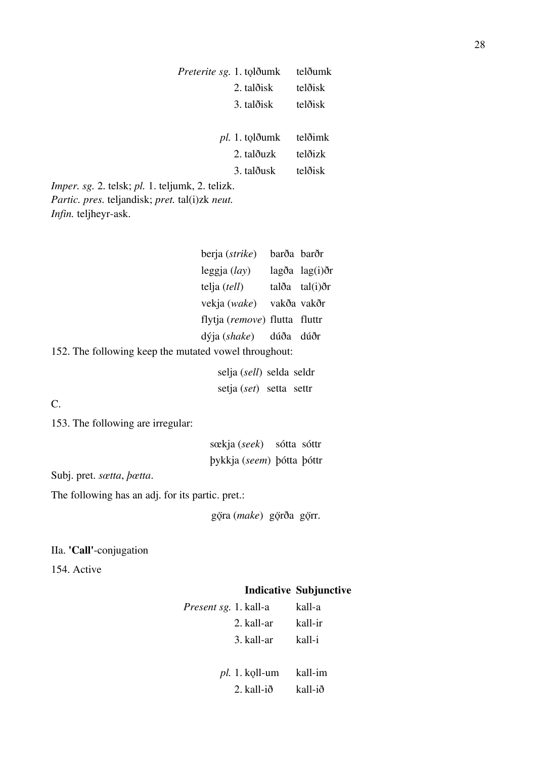|                                                                                                                                         | <i>Preterite sg.</i> 1. tolðumk<br>2. talðisk       |      | telðumk<br>telðisk            |
|-----------------------------------------------------------------------------------------------------------------------------------------|-----------------------------------------------------|------|-------------------------------|
|                                                                                                                                         | 3. talðisk                                          |      | telðisk                       |
|                                                                                                                                         | <i>pl.</i> 1. tolðumk<br>2. talðuzk                 |      | telðimk<br>telðizk            |
|                                                                                                                                         | 3. talðusk                                          |      | telðisk                       |
| <i>Imper. sg.</i> 2. telsk; pl. 1. teljumk, 2. telizk.<br>Partic. pres. teljandisk; pret. tal(i)zk neut.<br><i>Infin.</i> teljheyr-ask. |                                                     |      |                               |
|                                                                                                                                         | berja (strike) barða barðr                          |      |                               |
|                                                                                                                                         | $leggja (lay)$ lagða lag(i)ðr                       |      |                               |
|                                                                                                                                         | telja $(tell)$ talða tal $(i)$ ðr                   |      |                               |
|                                                                                                                                         | vekja (wake) vakða vakðr                            |      |                               |
|                                                                                                                                         | flytja (remove) flutta fluttr                       |      |                               |
|                                                                                                                                         | dýja (shake)                                        | dúða | dúðr                          |
| 152. The following keep the mutated vowel throughout:                                                                                   |                                                     |      |                               |
|                                                                                                                                         | selja (sell) selda seldr<br>setja (set) setta settr |      |                               |
| $\mathcal{C}$ .                                                                                                                         |                                                     |      |                               |
| 153. The following are irregular:                                                                                                       |                                                     |      |                               |
|                                                                                                                                         | sœkja (seek) sótta sóttr                            |      |                               |
|                                                                                                                                         | þykkja (seem) þótta þóttr                           |      |                               |
| Subj. pret. sætta, <i>bætta</i> .                                                                                                       |                                                     |      |                               |
| The following has an adj. for its partic. pret.:                                                                                        |                                                     |      |                               |
|                                                                                                                                         | göra (make) görða görr.                             |      |                               |
| IIa. 'Call'-conjugation                                                                                                                 |                                                     |      |                               |
| 154. Active                                                                                                                             |                                                     |      |                               |
|                                                                                                                                         |                                                     |      | <b>Indicative Subjunctive</b> |
|                                                                                                                                         | Present sg. 1. kall-a                               |      | kall-a                        |
|                                                                                                                                         | 2. kall-ar                                          |      | kall-ir                       |

- 3. kall-ar kall-i
- *pl.* 1. kǫll-um kall-im 2. kall-ið kall-ið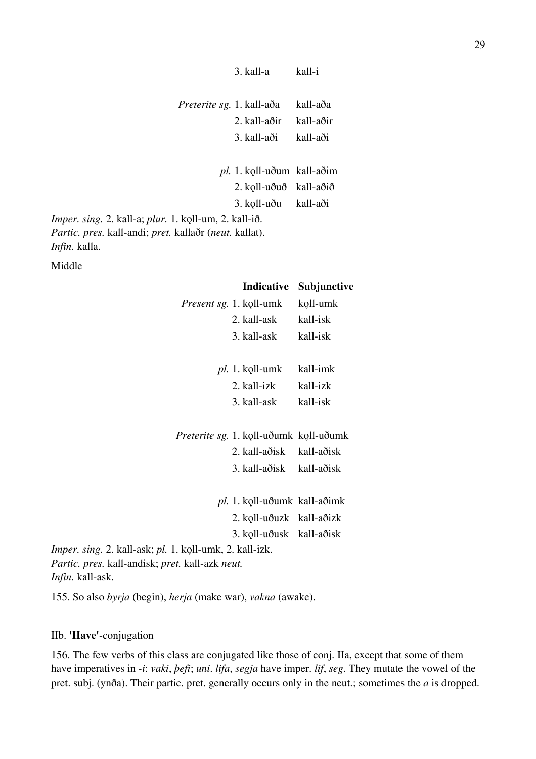| <i>Preterite sg.</i> 1. kall-aða                                                                        |                                   | kall-aða  |
|---------------------------------------------------------------------------------------------------------|-----------------------------------|-----------|
|                                                                                                         | 2. kall-aðir                      | kall-aðir |
|                                                                                                         | 3. kall-aði                       | kall-aði  |
|                                                                                                         |                                   |           |
|                                                                                                         | <i>pl.</i> 1. koll-uðum kall-aðim |           |
|                                                                                                         | 2. koll-uðuð kall-aðið            |           |
|                                                                                                         | 3. koll-uðu kall-aði              |           |
| 1. koll-um, 2. kall-ið.                                                                                 |                                   |           |
| $\mathbf{1}$ $\mathbf{1}$ $\mathbf{2}$ $\mathbf{3}$ $\mathbf{4}$ $\mathbf{1}$ $\mathbf{1}$ $\mathbf{1}$ |                                   |           |

3. kall-a kall-i

*Imper. sing.* 2. kall-a; *plur. Partic. pres.* kall-andi; *pret.* kallaðr (*neut.* kallat). *Infin.* kalla.

Middle

#### **Indicative Subjunctive**

|                                                                | <i>Present sg.</i> 1. koll-umk         | koll-umk |
|----------------------------------------------------------------|----------------------------------------|----------|
|                                                                | 2. kall-ask                            | kall-isk |
|                                                                | 3. kall-ask                            | kall-isk |
|                                                                |                                        |          |
|                                                                | $pl. 1.$ koll-umk                      | kall-imk |
|                                                                | 2. kall-izk                            | kall-izk |
|                                                                | 3. kall-ask                            | kall-isk |
|                                                                |                                        |          |
|                                                                | Preterite sg. 1. koll-uðumk koll-uðumk |          |
|                                                                | 2. kall-aðisk kall-aðisk               |          |
|                                                                | 3. kall-aðisk kall-aðisk               |          |
|                                                                |                                        |          |
|                                                                | pl. 1. koll-uðumk kall-aðimk           |          |
|                                                                | 2. koll-uðuzk kall-aðizk               |          |
|                                                                | 3. koll-uðusk kall-aðisk               |          |
| <i>Imper. sing.</i> 2. kall-ask; pl. 1. koll-umk, 2. kall-izk. |                                        |          |
| Partic. pres. kall-andisk; pret. kall-azk neut.                |                                        |          |

*Infin.* kall-ask.

155. So also *byrja* (begin), *herja* (make war), *vakna* (awake).

### IIb. **'Have'**-conjugation

156. The few verbs of this class are conjugated like those of conj. IIa, except that some of them have imperatives in *-i*: *vaki*, *þefi*; *uni*. *lifa*, *segja* have imper. *lif*, *seg*. They mutate the vowel of the pret. subj. (ynða). Their partic. pret. generally occurs only in the neut.; sometimes the *a* is dropped.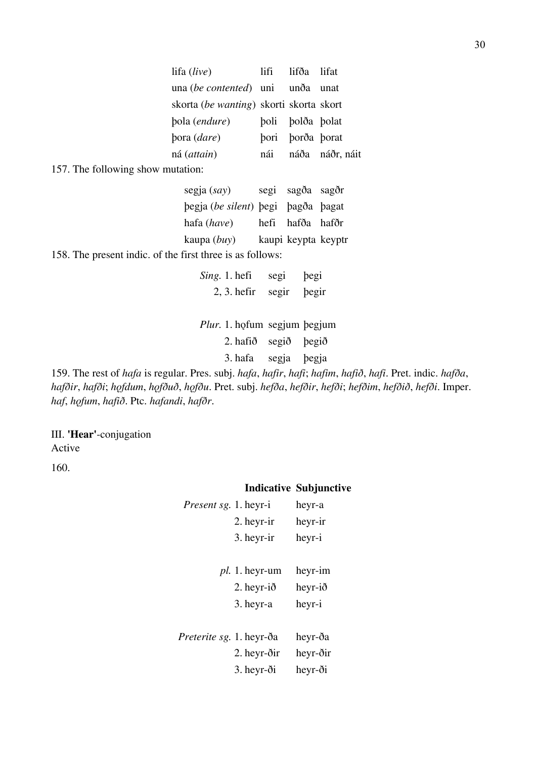| lifa (live)                             | lifi | lifða lifat      |                 |
|-----------------------------------------|------|------------------|-----------------|
| una (be contented) uni unda unat        |      |                  |                 |
| skorta (be wanting) skorti skorta skort |      |                  |                 |
| bola ( <i>endure</i> )                  |      | boli bolða bolat |                 |
| bora ( <i>dare</i> )                    |      | pori porða porat |                 |
| ná ( <i>attain</i> )                    | nái  |                  | náða náðr, náit |

157. The following show mutation:

| segja $(say)$                      | segi sagða sagðr    |  |
|------------------------------------|---------------------|--|
| begja (be silent) begi bagða bagat |                     |  |
| hafa (have)                        | hefi hafða hafðr    |  |
| kaupa (buy)                        | kaupi keypta keyptr |  |

158. The present indic. of the first three is as follows:

| Sing. 1. hefi | segi        | begi |
|---------------|-------------|------|
| $2, 3.$ hefir | segir begir |      |

Plur. 1. hǫfum segjum þegjum 2. hafið segið þegið

3. hafa segja þegja

159. The rest of *hafa* is regular. Pres. subj. *hafa*, *hafir*, *hafi*; *hafim*, *hafið*, *hafi*. Pret. indic. *hafða*, *hafðir*, *hafði*; *hǫfdum*, *hǫfðuð*, *hǫfðu*. Pret. subj. *hefða*, *hefðir*, *hefði*; *hefðim*, *hefðið*, *hefði*. Imper. *haf*, *hǫfum*, *hafið*. Ptc. *hafandi*, *hafðr*.

III. **'Hear'**-conjugation Active

160.

# **Indicative Subjunctive**

| <i>Present sg.</i> 1. heyr-i    |                       | heyr-a   |
|---------------------------------|-----------------------|----------|
|                                 | 2. heyr-ir            | heyr-ir  |
|                                 | 3. heyr-ir            | heyr-i   |
|                                 |                       |          |
|                                 | <i>pl.</i> 1. heyr-um | heyr-im  |
|                                 | 2. heyr- $i\delta$    | heyr-ið  |
|                                 | 3. heyr-a             | heyr-i   |
|                                 |                       |          |
| <i>Preterite sg.</i> 1. heyr-ða |                       | heyr-ða  |
|                                 | 2. heyr-ðir           | heyr-ðir |
|                                 | 3. heyr-ði            | heyr-ði  |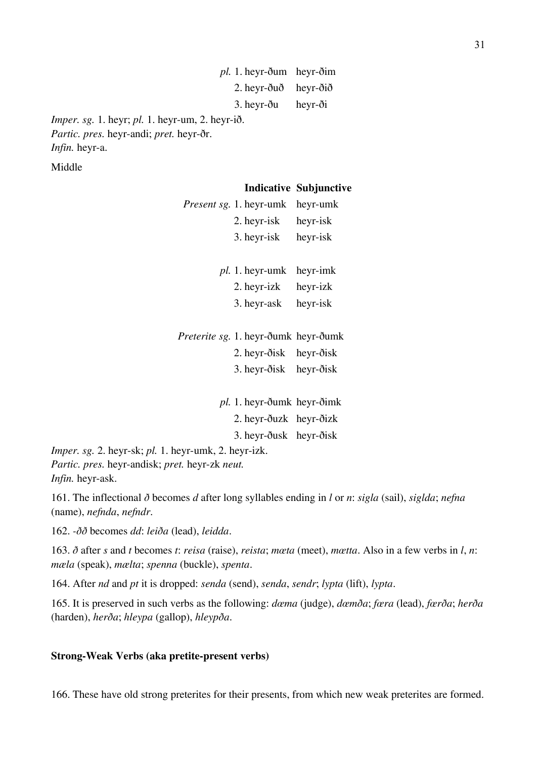*pl.* 1. heyr-ðum heyr-ðim 2. heyr-ðuð heyr-ðið 3. heyr-ðu heyr-ði

*Imper. sg.* 1. heyr; *pl.* 1. heyr-um, 2. heyr-ið. *Partic. pres.* heyr-andi; *pret.* heyr-ðr. *Infin.* heyr-a.

Middle

### **Indicative Subjunctive**

| <i>Present sg.</i> 1. heyr-umk                                 | heyr-umk |
|----------------------------------------------------------------|----------|
| 2. heyr-isk heyr-isk                                           |          |
| 3. heyr-isk heyr-isk                                           |          |
| <i>pl.</i> 1. heyr-umk heyr-imk                                |          |
| 2. heyr-izk heyr-izk                                           |          |
| 3. heyr-ask heyr-isk                                           |          |
|                                                                |          |
|                                                                |          |
| Preterite sg. 1. heyr-ðumk heyr-ðumk<br>2. heyr-ðisk heyr-ðisk |          |
| 3. heyr-ðisk heyr-ðisk                                         |          |
|                                                                |          |
| <i>pl.</i> 1. heyr-ðumk heyr-ðimk                              |          |

3. heyr-ðusk heyr-ðisk

*Imper. sg.* 2. heyr-sk; *pl.* 1. heyr-umk, 2. heyr-izk. *Partic. pres.* heyr-andisk; *pret.* heyr-zk *neut. Infin.* heyr-ask.

161. The inflectional *ð* becomes *d* after long syllables ending in *l* or *n*: *sigla* (sail), *siglda*; *nefna* (name), *nefnda*, *nefndr*.

162. *-ðð* becomes *dd*: *leiða* (lead), *leidda*.

163. *ð* after *s* and *t* becomes *t*: *reisa* (raise), *reista*; *mœta* (meet), *mœtta*. Also in a few verbs in *l*, *n*: *mæla* (speak), *mælta*; *spenna* (buckle), *spenta*.

164. After *nd* and *pt* it is dropped: *senda* (send), *senda*, *sendr*; *lypta* (lift), *lypta*.

165. It is preserved in such verbs as the following: *dœma* (judge), *dœmða*; *fœra* (lead), *fœrða*; *herða* (harden), *herða*; *hleypa* (gallop), *hleypða*.

### **Strong-Weak Verbs (aka pretite-present verbs)**

166. These have old strong preterites for their presents, from which new weak preterites are formed.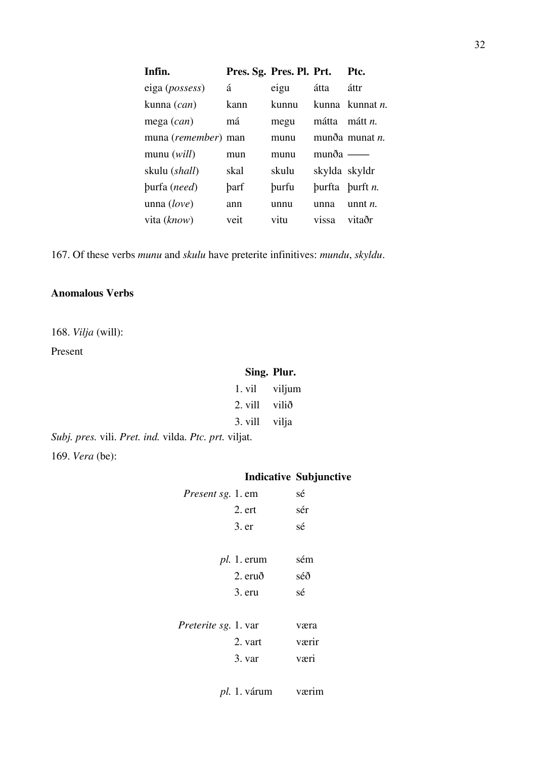| Infin.              | Pres. Sg. Pres. Pl. Prt. |              |                 | Ptc.                    |
|---------------------|--------------------------|--------------|-----------------|-------------------------|
| eiga (possess)      | á                        | eigu         | átta            | áttr                    |
| kunna (can)         | kann                     | kunnu        |                 | kunna kunnat <i>n</i> . |
| mega $(can)$        | má                       | megu         | mátta           | mátt <i>n</i> .         |
| muna (remember) man |                          | munu         |                 | munða munat $n$ .       |
| munu $(will)$       | mun                      | munu         | $mun\delta a$ — |                         |
| skulu (shall)       | skal                     | skulu        | skylda skyldr   |                         |
| burfa (need)        | barf                     | <b>burfu</b> |                 | burfta burft $n$ .      |
| unna $(love)$       | ann                      | unnu         | unna            | unnt $n$ .              |
| vita (know)         | veit                     | vitu         | vissa           | vitaðr                  |

167. Of these verbs *munu* and *skulu* have preterite infinitives: *mundu*, *skyldu*.

## **Anomalous Verbs**

168. *Vilja* (will):

Present

### **Sing. Plur.**

| 1. vil | viljum   |
|--------|----------|
|        | $\cdots$ |

- 2. vill vilið 3. vill vilja
- *Subj. pres.* vili. *Pret. ind.* vilda. *Ptc. prt.* viljat. 169. *Vera* (be):

|                             |               | <b>Indicative Subjunctive</b> |
|-----------------------------|---------------|-------------------------------|
| <i>Present sg.</i> 1. em    |               | sé                            |
|                             | 2. ert        | sér                           |
|                             | 3. er         | sé                            |
|                             |               |                               |
|                             | $pl. 1.$ erum | sém                           |
|                             | $2.$ eruð     | séð                           |
|                             | 3. eru        | sé                            |
|                             |               |                               |
| <i>Preterite sg.</i> 1. var |               | væra                          |
|                             | 2. vart       | værir                         |
|                             | 3. var        | væri                          |
|                             |               |                               |
|                             |               |                               |

*pl.* 1. várum værim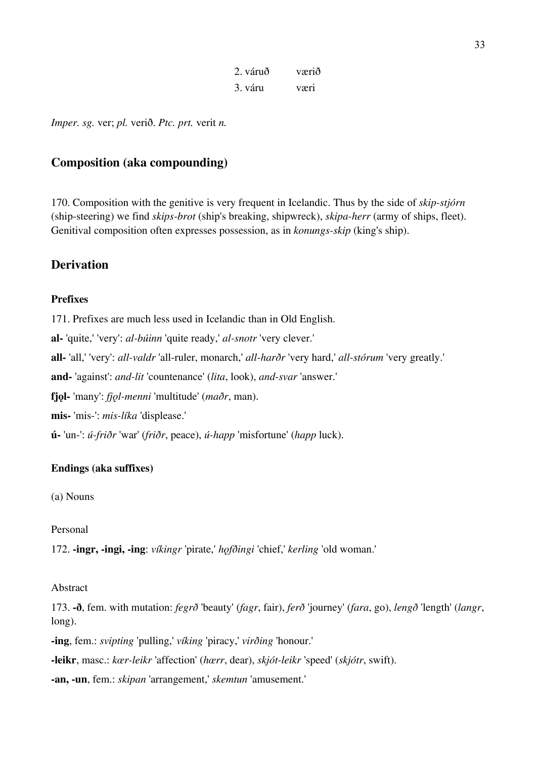| 2. váruð | værið |
|----------|-------|
| 3. váru  | væri  |

*Imper. sg.* ver; *pl.* verið. *Ptc. prt.* verit *n.*

# **Composition (aka compounding)**

170. Composition with the genitive is very frequent in Icelandic. Thus by the side of *skip-stjórn* (ship-steering) we find *skips-brot* (ship's breaking, shipwreck), *skipa-herr* (army of ships, fleet). Genitival composition often expresses possession, as in *konungs-skip* (king's ship).

### **Derivation**

### **Prefixes**

171. Prefixes are much less used in Icelandic than in Old English.

**al-** 'quite,' 'very': *al-búinn* 'quite ready,' *al-snotr* 'very clever.'

**all-** 'all,' 'very': *all-valdr* 'all-ruler, monarch,' *all-harðr* 'very hard,' *all-stórum* 'very greatly.'

**and-** 'against': *and-lit* 'countenance' (*lita*, look), *and-svar* 'answer.'

**fjǫl-** 'many': *fjǫl-menni* 'multitude' (*maðr*, man).

**mis-** 'mis-': *mis-líka* 'displease.'

**ú-** 'un-': *ú-friðr* 'war' (*friðr*, peace), *ú-happ* 'misfortune' (*happ* luck).

### **Endings (aka suffixes)**

(a) Nouns

Personal

172. **-ingr, -ingi, -ing**: *víkingr* 'pirate,' *hǫfðingi* 'chief,' *kerling* 'old woman.'

### Abstract

173. **-ð**, fem. with mutation: *fegrð* 'beauty' (*fagr*, fair), *ferð* 'journey' (*fara*, go), *lengð* 'length' (*langr*, long).

**-ing**, fem.: *svipting* 'pulling,' *víking* 'piracy,' *virðing* 'honour.'

**-leikr**, masc.: *kœr-leikr* 'affection' (*hœrr*, dear), *skjót-leikr* 'speed' (*skjótr*, swift).

**-an, -un**, fem.: *skipan* 'arrangement,' *skemtun* 'amusement.'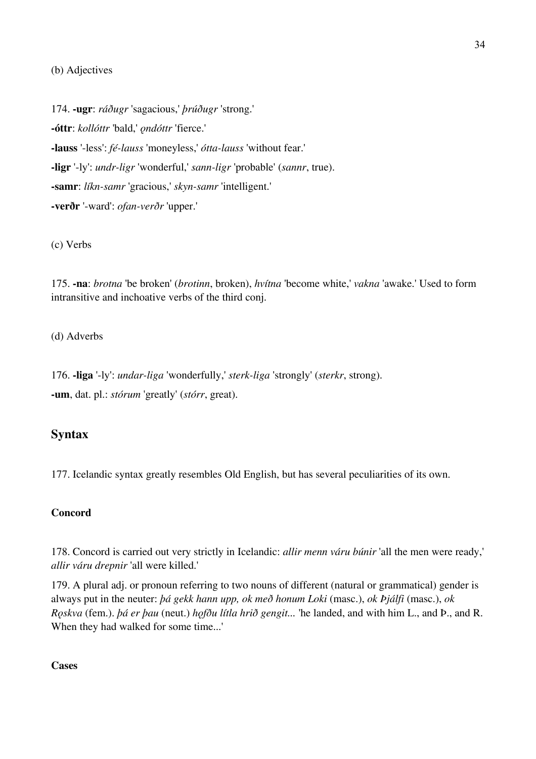### (b) Adjectives

174. **-ugr**: *ráðugr* 'sagacious,' *þrúðugr* 'strong.' **-óttr**: *kollóttr* 'bald,' *ǫndóttr* 'fierce.' **-lauss** '-less': *fé-lauss* 'moneyless,' *ótta-lauss* 'without fear.' **-ligr** '-ly': *undr-ligr* 'wonderful,' *sann-ligr* 'probable' (*sannr*, true). **-samr**: *líkn-samr* 'gracious,' *skyn-samr* 'intelligent.' **-verðr** '-ward': *ofan-verðr* 'upper.'

#### (c) Verbs

175. **-na**: *brotna* 'be broken' (*brotinn*, broken), *hvítna* 'become white,' *vakna* 'awake.' Used to form intransitive and inchoative verbs of the third conj.

(d) Adverbs

176. **-liga** '-ly': *undar-liga* 'wonderfully,' *sterk-liga* 'strongly' (*sterkr*, strong). **-um**, dat. pl.: *stórum* 'greatly' (*stórr*, great).

# **Syntax**

177. Icelandic syntax greatly resembles Old English, but has several peculiarities of its own.

#### **Concord**

178. Concord is carried out very strictly in Icelandic: *allir menn váru búnir* 'all the men were ready,' *allir váru drepnir* 'all were killed.'

179. A plural adj. or pronoun referring to two nouns of different (natural or grammatical) gender is always put in the neuter: *þá gekk hann upp, ok með honum Loki* (masc.), *ok Þjálfi* (masc.), *ok Rǫskva* (fem.). *þá er þau* (neut.) *hǫfðu lítla hrið gengit...* 'he landed, and with him L., and Þ., and R. When they had walked for some time...'

### **Cases**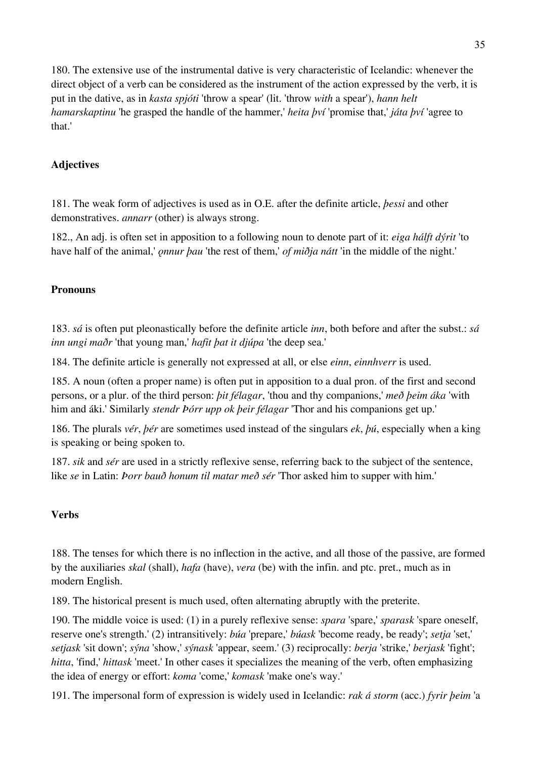180. The extensive use of the instrumental dative is very characteristic of Icelandic: whenever the direct object of a verb can be considered as the instrument of the action expressed by the verb, it is put in the dative, as in *kasta spjóti* 'throw a spear' (lit. 'throw *with* a spear'), *hann helt hamarskaptinu* 'he grasped the handle of the hammer,' *heita því* 'promise that,' *játa því* 'agree to that.'

# **Adjectives**

181. The weak form of adjectives is used as in O.E. after the definite article, *þessi* and other demonstratives. *annarr* (other) is always strong.

182., An adj. is often set in apposition to a following noun to denote part of it: *eiga hálft dýrit* 'to have half of the animal,'  $\rho$ *nnur þau* 'the rest of them,' *of miðja nátt* 'in the middle of the night.'

# **Pronouns**

183. *sá* is often put pleonastically before the definite article *inn*, both before and after the subst.: *sá inn ungi maðr* 'that young man,' *hafit þat it djúpa* 'the deep sea.'

184. The definite article is generally not expressed at all, or else *einn*, *einnhverr* is used.

185. A noun (often a proper name) is often put in apposition to a dual pron. of the first and second persons, or a plur. of the third person: *þit félagar*, 'thou and thy companions,' *með þeim áka* 'with him and áki.' Similarly *stendr Þórr upp ok þeir félagar* 'Thor and his companions get up.'

186. The plurals *vér*, *þér* are sometimes used instead of the singulars *ek*, *þú*, especially when a king is speaking or being spoken to.

187. *sik* and *sér* are used in a strictly reflexive sense, referring back to the subject of the sentence, like *se* in Latin: *Þorr bauð honum til matar með sér* 'Thor asked him to supper with him.'

# **Verbs**

188. The tenses for which there is no inflection in the active, and all those of the passive, are formed by the auxiliaries *skal* (shall), *hafa* (have), *vera* (be) with the infin. and ptc. pret., much as in modern English.

189. The historical present is much used, often alternating abruptly with the preterite.

190. The middle voice is used: (1) in a purely reflexive sense: *spara* 'spare,' *sparask* 'spare oneself, reserve one's strength.' (2) intransitively: *búa* 'prepare,' *búask* 'become ready, be ready'; *setja* 'set,' *setjask* 'sit down'; *sýna* 'show,' *sýnask* 'appear, seem.' (3) reciprocally: *berja* 'strike,' *berjask* 'fight'; *hitta*, 'find,' *hittask* 'meet.' In other cases it specializes the meaning of the verb, often emphasizing the idea of energy or effort: *koma* 'come,' *komask* 'make one's way.'

191. The impersonal form of expression is widely used in Icelandic: *rak á storm* (acc.) *fyrir þeim* 'a